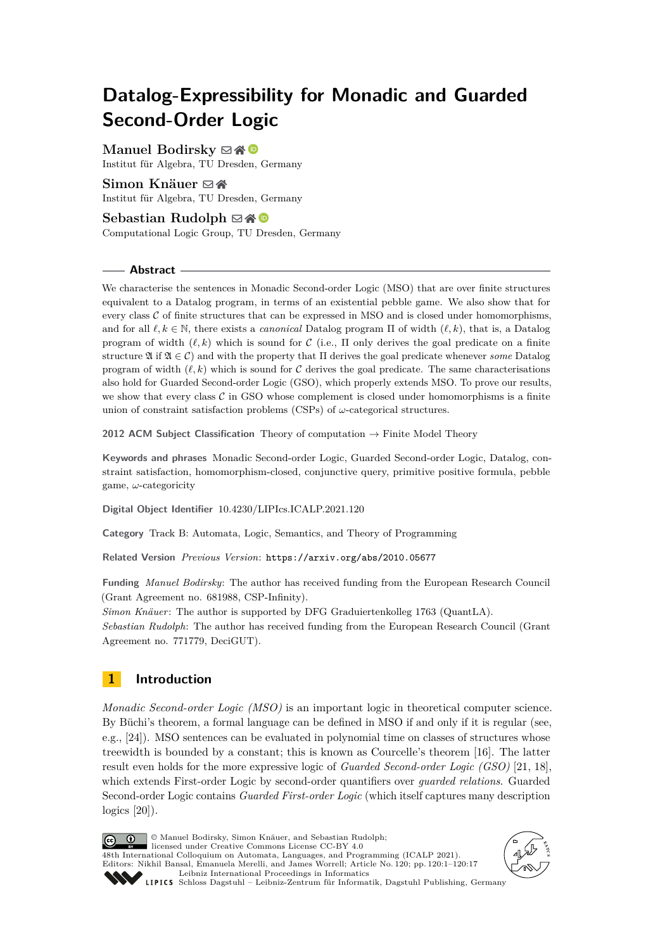# **Datalog-Expressibility for Monadic and Guarded Second-Order Logic**

## **Manuel Bodirsky** ⊠\* <sup>©</sup>

Institut für Algebra, TU Dresden, Germany

## Simon Knäuer **⊠** n

Institut für Algebra, TU Dresden, Germany

## **Sebastian Rudolph**  $\boxtimes \triangle$   $\bullet$

Computational Logic Group, TU Dresden, Germany

#### **Abstract**

We characterise the sentences in Monadic Second-order Logic (MSO) that are over finite structures equivalent to a Datalog program, in terms of an existential pebble game. We also show that for every class  $C$  of finite structures that can be expressed in MSO and is closed under homomorphisms, and for all *ℓ, k* ∈ N, there exists a *canonical* Datalog program Π of width (*ℓ, k*), that is, a Datalog program of width  $(\ell, k)$  which is sound for C (i.e.,  $\Pi$  only derives the goal predicate on a finite structure  $\mathfrak{A}$  if  $\mathfrak{A} \in \mathcal{C}$ ) and with the property that  $\Pi$  derives the goal predicate whenever *some* Datalog program of width  $(\ell, k)$  which is sound for C derives the goal predicate. The same characterisations also hold for Guarded Second-order Logic (GSO), which properly extends MSO. To prove our results, we show that every class  $\mathcal C$  in GSO whose complement is closed under homomorphisms is a finite union of constraint satisfaction problems (CSPs) of *ω*-categorical structures.

**2012 ACM Subject Classification** Theory of computation → Finite Model Theory

**Keywords and phrases** Monadic Second-order Logic, Guarded Second-order Logic, Datalog, constraint satisfaction, homomorphism-closed, conjunctive query, primitive positive formula, pebble game, *ω*-categoricity

**Digital Object Identifier** [10.4230/LIPIcs.ICALP.2021.120](https://doi.org/10.4230/LIPIcs.ICALP.2021.120)

**Category** Track B: Automata, Logic, Semantics, and Theory of Programming

**Related Version** *Previous Version*: <https://arxiv.org/abs/2010.05677>

**Funding** *Manuel Bodirsky*: The author has received funding from the European Research Council (Grant Agreement no. 681988, CSP-Infinity).

*Simon Knäuer*: The author is supported by DFG Graduiertenkolleg 1763 (QuantLA). *Sebastian Rudolph*: The author has received funding from the European Research Council (Grant Agreement no. 771779, DeciGUT).

## **1 Introduction**

*Monadic Second-order Logic (MSO)* is an important logic in theoretical computer science. By Büchi's theorem, a formal language can be defined in MSO if and only if it is regular (see, e.g., [\[24\]](#page-16-0)). MSO sentences can be evaluated in polynomial time on classes of structures whose treewidth is bounded by a constant; this is known as Courcelle's theorem [\[16\]](#page-16-1). The latter result even holds for the more expressive logic of *Guarded Second-order Logic (GSO)* [\[21,](#page-16-2) [18\]](#page-16-3), which extends First-order Logic by second-order quantifiers over *guarded relations*. Guarded Second-order Logic contains *Guarded First-order Logic* (which itself captures many description logics [\[20\]](#page-16-4)).

© Manuel Bodirsky, Simon Knäuer, and Sebastian Rudolph;  $\circ$   $\circ$ licensed under Creative Commons License CC-BY 4.0 48th International Colloquium on Automata, Languages, and Programming (ICALP 2021). Editors: Nikhil Bansal, Emanuela Merelli, and James Worrell; Article No. 120; pp. 120:1–120:17 [Leibniz International Proceedings in Informatics](https://www.dagstuhl.de/lipics/) SCHLOSS Dagstuhl – Leibniz-Zentrum für Informatik, Dagstuhl Publishing, Germany

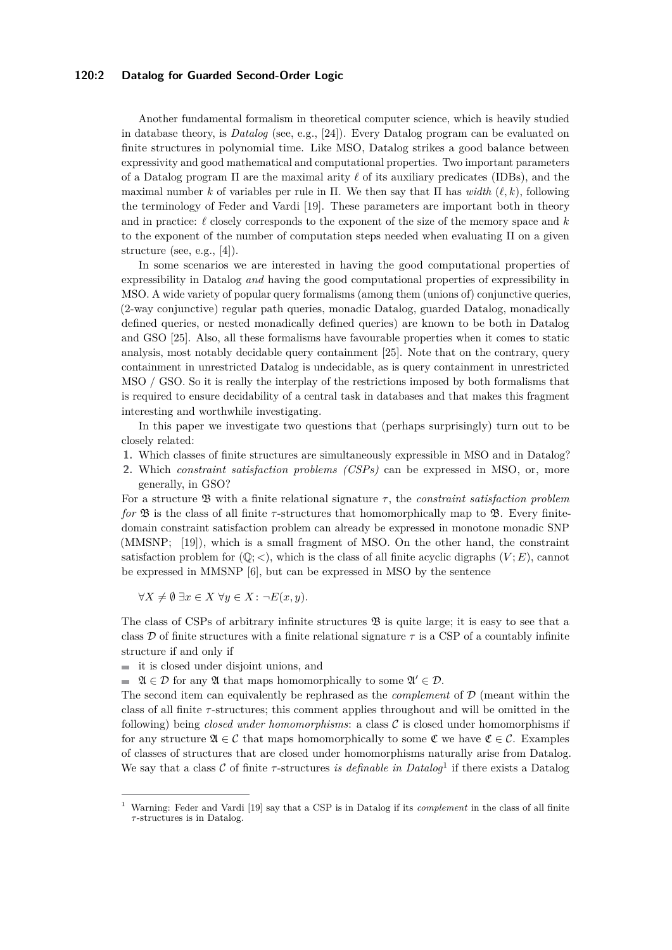#### **120:2 Datalog for Guarded Second-Order Logic**

Another fundamental formalism in theoretical computer science, which is heavily studied in database theory, is *Datalog* (see, e.g., [\[24\]](#page-16-0)). Every Datalog program can be evaluated on finite structures in polynomial time. Like MSO, Datalog strikes a good balance between expressivity and good mathematical and computational properties. Two important parameters of a Datalog program Π are the maximal arity *ℓ* of its auxiliary predicates (IDBs), and the maximal number *k* of variables per rule in Π. We then say that Π has *width*  $(\ell, k)$ , following the terminology of Feder and Vardi [\[19\]](#page-16-5). These parameters are important both in theory and in practice: *ℓ* closely corresponds to the exponent of the size of the memory space and *k* to the exponent of the number of computation steps needed when evaluating Π on a given structure (see, e.g., [\[4\]](#page-15-0)).

In some scenarios we are interested in having the good computational properties of expressibility in Datalog *and* having the good computational properties of expressibility in MSO. A wide variety of popular query formalisms (among them (unions of) conjunctive queries, (2-way conjunctive) regular path queries, monadic Datalog, guarded Datalog, monadically defined queries, or nested monadically defined queries) are known to be both in Datalog and GSO [\[25\]](#page-16-6). Also, all these formalisms have favourable properties when it comes to static analysis, most notably decidable query containment [\[25\]](#page-16-6). Note that on the contrary, query containment in unrestricted Datalog is undecidable, as is query containment in unrestricted MSO / GSO. So it is really the interplay of the restrictions imposed by both formalisms that is required to ensure decidability of a central task in databases and that makes this fragment interesting and worthwhile investigating.

In this paper we investigate two questions that (perhaps surprisingly) turn out to be closely related:

- **1.** Which classes of finite structures are simultaneously expressible in MSO and in Datalog?
- **2.** Which *constraint satisfaction problems (CSPs)* can be expressed in MSO, or, more generally, in GSO?

For a structure B with a finite relational signature *τ* , the *constraint satisfaction problem for*  $\mathfrak{B}$  is the class of all finite *τ*-structures that homomorphically map to  $\mathfrak{B}$ . Every finitedomain constraint satisfaction problem can already be expressed in monotone monadic SNP (MMSNP; [\[19\]](#page-16-5)), which is a small fragment of MSO. On the other hand, the constraint satisfaction problem for  $(\mathbb{O}; <)$ , which is the class of all finite acyclic digraphs  $(V; E)$ , cannot be expressed in MMSNP [\[6\]](#page-15-1), but can be expressed in MSO by the sentence

 $∀X ≠ ∅ ∃x ∈ X ∀y ∈ X : ¬E(x, y)$ .

The class of CSPs of arbitrary infinite structures  $\mathfrak{B}$  is quite large; it is easy to see that a class D of finite structures with a finite relational signature  $\tau$  is a CSP of a countably infinite structure if and only if

it is closed under disjoint unions, and

 $\mathfrak{A} \in \mathcal{D}$  for any  $\mathfrak{A}$  that maps homomorphically to some  $\mathfrak{A}' \in \mathcal{D}$ .

The second item can equivalently be rephrased as the *complement* of D (meant within the class of all finite *τ* -structures; this comment applies throughout and will be omitted in the following) being *closed under homomorphisms*: a class C is closed under homomorphisms if for any structure  $\mathfrak{A} \in \mathcal{C}$  that maps homomorphically to some  $\mathfrak{C}$  we have  $\mathfrak{C} \in \mathcal{C}$ . Examples of classes of structures that are closed under homomorphisms naturally arise from Datalog. We say that a class  $C$  of finite  $\tau$ -structures *is definable in Datalog*<sup>[1](#page-1-0)</sup> if there exists a Datalog

<span id="page-1-0"></span><sup>1</sup> Warning: Feder and Vardi [\[19\]](#page-16-5) say that a CSP is in Datalog if its *complement* in the class of all finite *τ* -structures is in Datalog.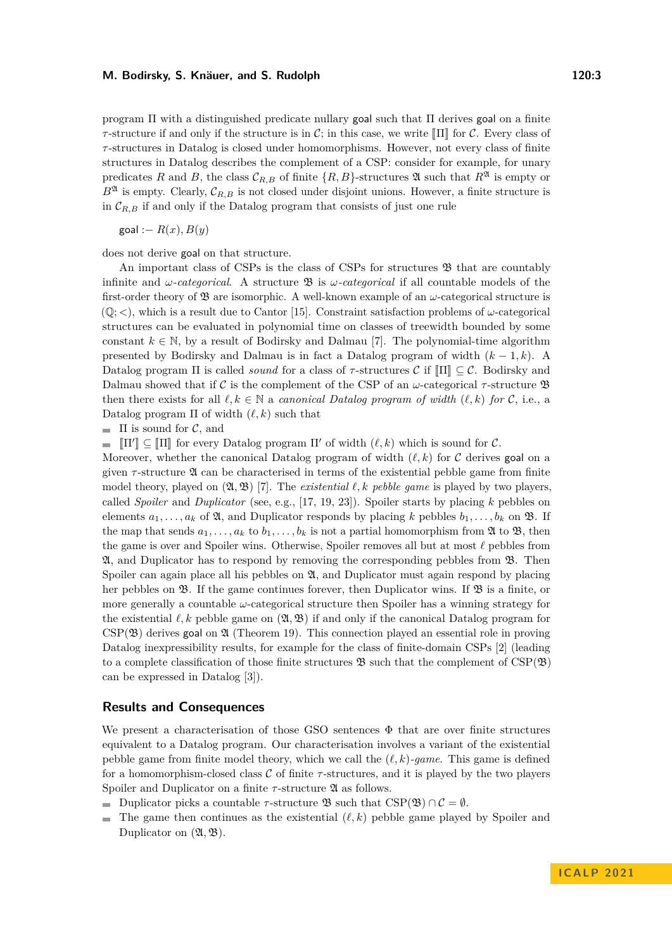program  $\Pi$  with a distinguished predicate nullary goal such that  $\Pi$  derives goal on a finite *τ*-structure if and only if the structure is in C; in this case, we write  $\llbracket \Pi \rrbracket$  for C. Every class of *τ* -structures in Datalog is closed under homomorphisms. However, not every class of finite structures in Datalog describes the complement of a CSP: consider for example, for unary predicates *R* and *B*, the class  $\mathcal{C}_{R,B}$  of finite  $\{R, B\}$ -structures 24 such that  $R^{\mathfrak{A}}$  is empty or  $B^{\mathfrak{A}}$  is empty. Clearly,  $\mathcal{C}_{R,B}$  is not closed under disjoint unions. However, a finite structure is in  $\mathcal{C}_{R,B}$  if and only if the Datalog program that consists of just one rule

 $\text{goal} := R(x), B(y)$ 

does not derive goal on that structure.

An important class of CSPs is the class of CSPs for structures  $\mathfrak{B}$  that are countably infinite and *ω*-categorical. A structure  $\mathfrak{B}$  is *ω*-categorical if all countable models of the first-order theory of  $\mathfrak{B}$  are isomorphic. A well-known example of an  $\omega$ -categorical structure is  $(\mathbb{Q};<)$ , which is a result due to Cantor [\[15\]](#page-16-7). Constraint satisfaction problems of *ω*-categorical structures can be evaluated in polynomial time on classes of treewidth bounded by some constant  $k \in \mathbb{N}$ , by a result of Bodirsky and Dalmau [\[7\]](#page-15-2). The polynomial-time algorithm presented by Bodirsky and Dalmau is in fact a Datalog program of width (*k* − 1*, k*). A Datalog program  $\Pi$  is called *sound* for a class of  $\tau$ -structures  $\mathcal{C}$  if  $\Pi$  $\Gamma \subset \mathcal{C}$ . Bodirsky and Dalmau showed that if C is the complement of the CSP of an  $\omega$ -categorical  $\tau$ -structure  $\mathfrak{B}$ then there exists for all  $\ell, k \in \mathbb{N}$  a *canonical Datalog program of width*  $(\ell, k)$  *for* C, i.e., a Datalog program Π of width (*ℓ, k*) such that

 $\blacksquare$  II is sound for C, and

 $\llbracket \Pi' \rrbracket \subseteq \llbracket \Pi \rrbracket$  for every Datalog program  $\Pi'$  of width  $(\ell, k)$  which is sound for C. m.

Moreover, whether the canonical Datalog program of width  $(\ell, k)$  for C derives goal on a given *τ* -structure A can be characterised in terms of the existential pebble game from finite model theory, played on  $(2\mathbf{i}, 2\mathbf{j})$  [\[7\]](#page-15-2). The *existential*  $\ell, k$  *pebble game* is played by two players, called *Spoiler* and *Duplicator* (see, e.g., [\[17,](#page-16-8) [19,](#page-16-5) [23\]](#page-16-9)). Spoiler starts by placing *k* pebbles on elements  $a_1, \ldots, a_k$  of  $\mathfrak{A}$ , and Duplicator responds by placing *k* pebbles  $b_1, \ldots, b_k$  on  $\mathfrak{B}$ . If the map that sends  $a_1, \ldots, a_k$  to  $b_1, \ldots, b_k$  is not a partial homomorphism from  $\mathfrak{A}$  to  $\mathfrak{B}$ , then the game is over and Spoiler wins. Otherwise, Spoiler removes all but at most *ℓ* pebbles from A, and Duplicator has to respond by removing the corresponding pebbles from B. Then Spoiler can again place all his pebbles on  $\mathfrak{A}$ , and Duplicator must again respond by placing her pebbles on  $\mathfrak{B}$ . If the game continues forever, then Duplicator wins. If  $\mathfrak{B}$  is a finite, or more generally a countable *ω*-categorical structure then Spoiler has a winning strategy for the existential  $\ell, k$  pebble game on  $(\mathfrak{A}, \mathfrak{B})$  if and only if the canonical Datalog program for  $CSP(\mathfrak{B})$  derives goal on  $\mathfrak{A}$  (Theorem [19\)](#page-12-0). This connection played an essential role in proving Datalog inexpressibility results, for example for the class of finite-domain CSPs [\[2\]](#page-15-3) (leading to a complete classification of those finite structures  $\mathfrak{B}$  such that the complement of CSP( $\mathfrak{B}$ ) can be expressed in Datalog [\[3\]](#page-15-4)).

#### **Results and Consequences**

We present a characterisation of those GSO sentences Φ that are over finite structures equivalent to a Datalog program. Our characterisation involves a variant of the existential pebble game from finite model theory, which we call the  $(\ell, k)$ *-game*. This game is defined for a homomorphism-closed class C of finite *τ* -structures, and it is played by the two players Spoiler and Duplicator on a finite *τ*-structure **2** as follows.

- Duplicator picks a countable  $\tau$ -structure  $\mathfrak{B}$  such that CSP( $\mathfrak{B}$ )  $\cap \mathcal{C} = \emptyset$ . m.
- $\blacksquare$ The game then continues as the existential  $(\ell, k)$  pebble game played by Spoiler and Duplicator on  $(\mathfrak{A}, \mathfrak{B})$ .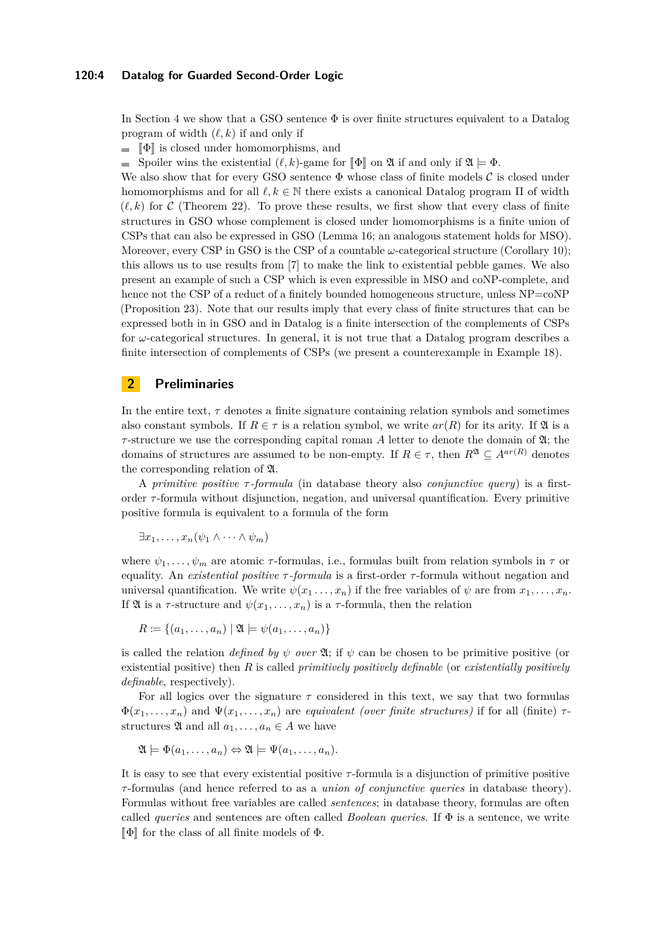#### **120:4 Datalog for Guarded Second-Order Logic**

In Section [4](#page-12-1) we show that a GSO sentence  $\Phi$  is over finite structures equivalent to a Datalog program of width (*ℓ, k*) if and only if

 $\blacksquare$   $\blacksquare$  is closed under homomorphisms, and

Spoiler wins the existential  $(\ell, k)$ -game for  $\llbracket \Phi \rrbracket$  on  $\mathfrak{A}$  if and only if  $\mathfrak{A} \models \Phi$ .

We also show that for every GSO sentence  $\Phi$  whose class of finite models  $\mathcal C$  is closed under homomorphisms and for all  $\ell, k \in \mathbb{N}$  there exists a canonical Datalog program  $\Pi$  of width  $(\ell, k)$  for C (Theorem [22\)](#page-13-0). To prove these results, we first show that every class of finite structures in GSO whose complement is closed under homomorphisms is a finite union of CSPs that can also be expressed in GSO (Lemma [16;](#page-11-0) an analogous statement holds for MSO). Moreover, every CSP in GSO is the CSP of a countable *ω*-categorical structure (Corollary [10\)](#page-9-0); this allows us to use results from [\[7\]](#page-15-2) to make the link to existential pebble games. We also present an example of such a CSP which is even expressible in MSO and coNP-complete, and hence not the CSP of a reduct of a finitely bounded homogeneous structure, unless  $NP = coNP$ (Proposition [23\)](#page-14-0). Note that our results imply that every class of finite structures that can be expressed both in in GSO and in Datalog is a finite intersection of the complements of CSPs for *ω*-categorical structures. In general, it is not true that a Datalog program describes a finite intersection of complements of CSPs (we present a counterexample in Example [18\)](#page-12-2).

## **2 Preliminaries**

In the entire text, *τ* denotes a finite signature containing relation symbols and sometimes also constant symbols. If  $R \in \tau$  is a relation symbol, we write  $ar(R)$  for its arity. If  $\mathfrak A$  is a *τ*-structure we use the corresponding capital roman *A* letter to denote the domain of  $\mathfrak{A}$ ; the domains of structures are assumed to be non-empty. If  $R \in \tau$ , then  $R^{\mathfrak{A}} \subseteq A^{ar(R)}$  denotes the corresponding relation of A.

A *primitive positive τ -formula* (in database theory also *conjunctive query*) is a firstorder *τ* -formula without disjunction, negation, and universal quantification. Every primitive positive formula is equivalent to a formula of the form

$$
\exists x_1, \ldots, x_n (\psi_1 \wedge \cdots \wedge \psi_m)
$$

where  $\psi_1, \ldots, \psi_m$  are atomic  $\tau$ -formulas, i.e., formulas built from relation symbols in  $\tau$  or equality. An *existential positive τ -formula* is a first-order *τ* -formula without negation and universal quantification. We write  $\psi(x_1, \ldots, x_n)$  if the free variables of  $\psi$  are from  $x_1, \ldots, x_n$ . If  $\mathfrak A$  is a *τ*-structure and  $\psi(x_1, \ldots, x_n)$  is a *τ*-formula, then the relation

$$
R \coloneqq \{(a_1, \ldots, a_n) \mid \mathfrak{A} \models \psi(a_1, \ldots, a_n)\}
$$

is called the relation *defined by*  $\psi$  *over*  $\mathfrak{A}$ ; if  $\psi$  can be chosen to be primitive positive (or existential positive) then *R* is called *primitively positively definable* (or *existentially positively definable*, respectively).

For all logics over the signature  $\tau$  considered in this text, we say that two formulas  $\Phi(x_1, \ldots, x_n)$  and  $\Psi(x_1, \ldots, x_n)$  are *equivalent (over finite structures)* if for all (finite)  $\tau$ structures  $\mathfrak{A}$  and all  $a_1, \ldots, a_n \in A$  we have

$$
\mathfrak{A} \models \Phi(a_1, \ldots, a_n) \Leftrightarrow \mathfrak{A} \models \Psi(a_1, \ldots, a_n).
$$

It is easy to see that every existential positive *τ* -formula is a disjunction of primitive positive *τ* -formulas (and hence referred to as a *union of conjunctive queries* in database theory). Formulas without free variables are called *sentences*; in database theory, formulas are often called *queries* and sentences are often called *Boolean queries*. If Φ is a sentence, we write  $\llbracket \Phi \rrbracket$  for the class of all finite models of  $\Phi$ .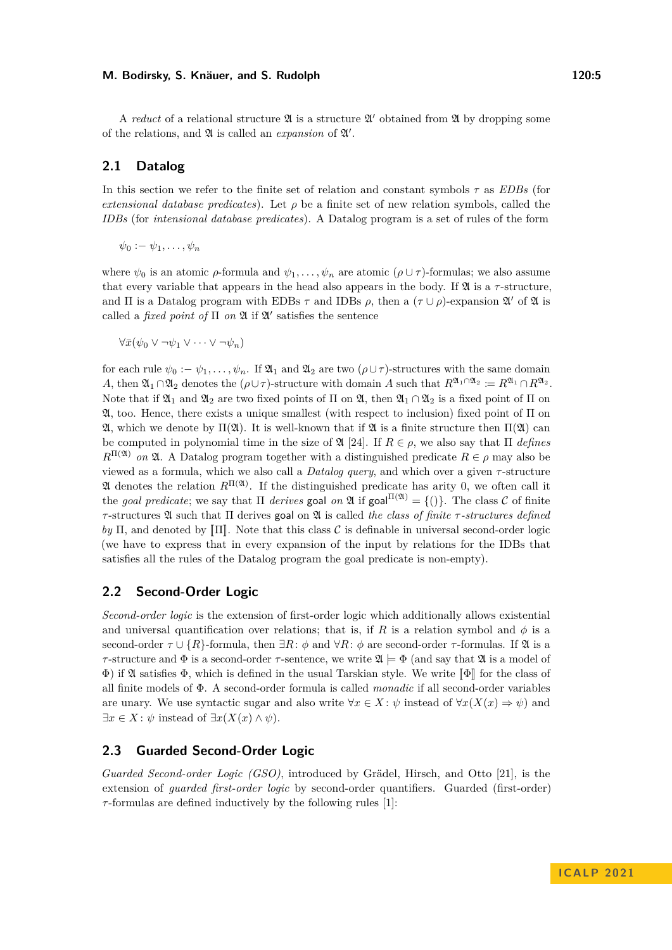A *reduct* of a relational structure  $\mathfrak A$  is a structure  $\mathfrak A'$  obtained from  $\mathfrak A$  by dropping some of the relations, and  $\mathfrak A$  is called an *expansion* of  $\mathfrak A'$ .

## **2.1 Datalog**

In this section we refer to the finite set of relation and constant symbols *τ* as *EDBs* (for *extensional database predicates*). Let *ρ* be a finite set of new relation symbols, called the *IDBs* (for *intensional database predicates*). A Datalog program is a set of rules of the form

 $\psi_0 := \psi_1, \ldots, \psi_n$ 

where  $\psi_0$  is an atomic  $\rho$ -formula and  $\psi_1, \ldots, \psi_n$  are atomic  $(\rho \cup \tau)$ -formulas; we also assume that every variable that appears in the head also appears in the body. If  $\mathfrak{A}$  is a  $\tau$ -structure, and  $\Pi$  is a Datalog program with EDBs  $\tau$  and IDBs  $\rho$ , then a  $(\tau \cup \rho)$ -expansion  $\mathfrak{A}'$  of  $\mathfrak{A}$  is called a *fixed point of*  $\Pi$  *on*  $\mathfrak{A}$  if  $\mathfrak{A}'$  satisfies the sentence

 $\forall \bar{x}(\psi_0 \vee \neg \psi_1 \vee \cdots \vee \neg \psi_n)$ 

for each rule  $\psi_0 := \psi_1, \ldots, \psi_n$ . If  $\mathfrak{A}_1$  and  $\mathfrak{A}_2$  are two  $(\rho \cup \tau)$ -structures with the same domain *A*, then  $\mathfrak{A}_1 \cap \mathfrak{A}_2$  denotes the  $(\rho \cup \tau)$ -structure with domain *A* such that  $R^{\mathfrak{A}_1 \cap \mathfrak{A}_2} := R^{\mathfrak{A}_1} \cap R^{\mathfrak{A}_2}$ . Note that if  $\mathfrak{A}_1$  and  $\mathfrak{A}_2$  are two fixed points of  $\Pi$  on  $\mathfrak{A}$ , then  $\mathfrak{A}_1 \cap \mathfrak{A}_2$  is a fixed point of  $\Pi$  on  $\mathfrak{A}$ , too. Hence, there exists a unique smallest (with respect to inclusion) fixed point of Π on A, which we denote by Π(A). It is well-known that if A is a finite structure then Π(A) can be computed in polynomial time in the size of  $\mathfrak{A}$  [\[24\]](#page-16-0). If  $R \in \rho$ , we also say that  $\Pi$  *defines R*<sup>Π(2)</sup> *on* 2Ⅰ. A Datalog program together with a distinguished predicate *R* ∈ *ρ* may also be viewed as a formula, which we also call a *Datalog query*, and which over a given *τ* -structure  $\mathfrak A$  denotes the relation  $R^{\Pi(\mathfrak A)}$ . If the distinguished predicate has arity 0, we often call it the *goal predicate*; we say that  $\Pi$  *derives* goal *on*  $\mathfrak{A}$  if goal  $\Pi(\mathfrak{A}) = \{()\}$ . The class C of finite *τ* -structures A such that Π derives goal on A is called *the class of finite τ -structures defined*  $by \Pi$ , and denoted by  $\Pi$ . Note that this class C is definable in universal second-order logic (we have to express that in every expansion of the input by relations for the IDBs that satisfies all the rules of the Datalog program the goal predicate is non-empty).

#### **2.2 Second-Order Logic**

*Second-order logic* is the extension of first-order logic which additionally allows existential and universal quantification over relations; that is, if *R* is a relation symbol and  $\phi$  is a second-order  $\tau \cup \{R\}$ -formula, then  $\exists R: \phi$  and  $\forall R: \phi$  are second-order  $\tau$ -formulas. If  $\mathfrak A$  is a *τ*-structure and  $\Phi$  is a second-order *τ*-sentence, we write  $\mathfrak{A} \models \Phi$  (and say that  $\mathfrak{A}$  is a model of  $\Phi$ ) if  $\mathfrak A$  satisfies  $\Phi$ , which is defined in the usual Tarskian style. We write  $\llbracket \Phi \rrbracket$  for the class of all finite models of Φ. A second-order formula is called *monadic* if all second-order variables are unary. We use syntactic sugar and also write  $\forall x \in X : \psi$  instead of  $\forall x (X(x) \Rightarrow \psi)$  and ∃*x* ∈ *X* : *ψ* instead of ∃*x*(*X*(*x*) ∧ *ψ*).

## **2.3 Guarded Second-Order Logic**

*Guarded Second-order Logic (GSO)*, introduced by Grädel, Hirsch, and Otto [\[21\]](#page-16-2), is the extension of *guarded first-order logic* by second-order quantifiers. Guarded (first-order) *τ* -formulas are defined inductively by the following rules [\[1\]](#page-15-5):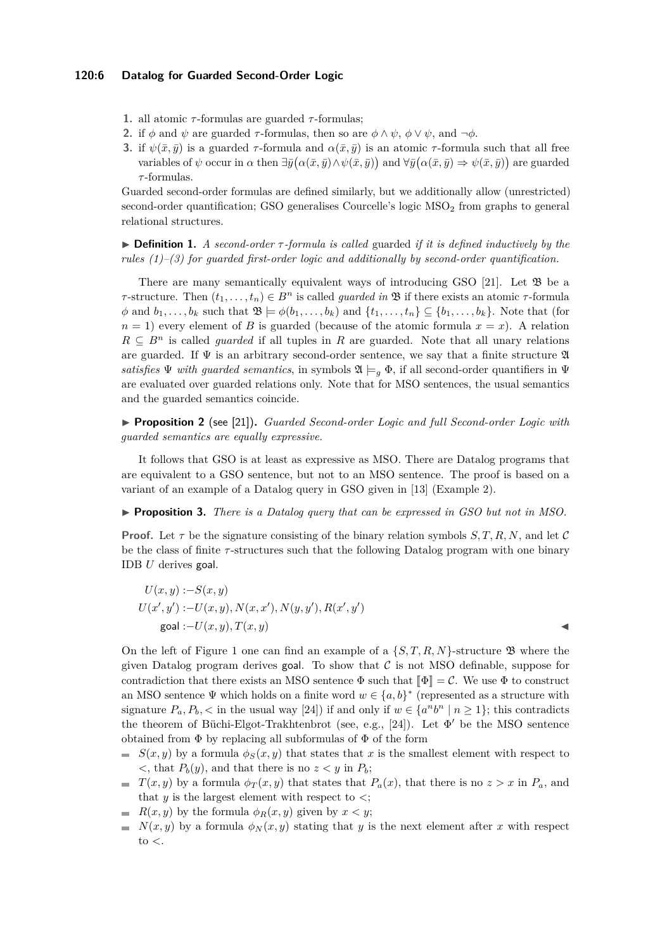- **1.** all atomic *τ* -formulas are guarded *τ* -formulas;
- **2.** if  $\phi$  and  $\psi$  are guarded  $\tau$ -formulas, then so are  $\phi \wedge \psi$ ,  $\phi \vee \psi$ , and  $\neg \phi$ .
- **3.** if  $\psi(\bar{x}, \bar{y})$  is a guarded *τ*-formula and  $\alpha(\bar{x}, \bar{y})$  is an atomic *τ*-formula such that all free variables of  $\psi$  occur in  $\alpha$  then  $\exists \bar{y}(\alpha(\bar{x}, \bar{y}) \wedge \psi(\bar{x}, \bar{y}))$  and  $\forall \bar{y}(\alpha(\bar{x}, \bar{y}) \Rightarrow \psi(\bar{x}, \bar{y}))$  are guarded *τ* -formulas.

Guarded second-order formulas are defined similarly, but we additionally allow (unrestricted) second-order quantification; GSO generalises Courcelle's logic  $\text{MSO}_2$  from graphs to general relational structures.

▶ **Definition 1.** *A second-order τ -formula is called* guarded *if it is defined inductively by the rules (1)–(3) for guarded first-order logic and additionally by second-order quantification.*

There are many semantically equivalent ways of introducing GSO [\[21\]](#page-16-2). Let  $\mathfrak{B}$  be a *τ* -structure. Then  $(t_1, \ldots, t_n)$  ∈  $B^n$  is called *guarded in* **B** if there exists an atomic *τ*-formula  $\phi$  and  $b_1, \ldots, b_k$  such that  $\mathfrak{B} \models \phi(b_1, \ldots, b_k)$  and  $\{t_1, \ldots, t_n\} \subseteq \{b_1, \ldots, b_k\}$ . Note that (for  $n = 1$ ) every element of *B* is guarded (because of the atomic formula  $x = x$ ). A relation  $R \subseteq B^n$  is called *guarded* if all tuples in *R* are guarded. Note that all unary relations are guarded. If  $\Psi$  is an arbitrary second-order sentence, we say that a finite structure  $\mathfrak A$ *satisfies*  $\Psi$  *with guarded semantics*, in symbols  $\mathfrak{A} \models_q \Phi$ , if all second-order quantifiers in  $\Psi$ are evaluated over guarded relations only. Note that for MSO sentences, the usual semantics and the guarded semantics coincide.

▶ **Proposition 2** (see [\[21\]](#page-16-2))**.** *Guarded Second-order Logic and full Second-order Logic with guarded semantics are equally expressive.*

It follows that GSO is at least as expressive as MSO. There are Datalog programs that are equivalent to a GSO sentence, but not to an MSO sentence. The proof is based on a variant of an example of a Datalog query in GSO given in [\[13\]](#page-16-10) (Example 2).

<span id="page-5-0"></span>▶ **Proposition 3.** *There is a Datalog query that can be expressed in GSO but not in MSO.*

**Proof.** Let  $\tau$  be the signature consisting of the binary relation symbols  $S, T, R, N$ , and let C be the class of finite *τ* -structures such that the following Datalog program with one binary IDB *U* derives goal.

$$
U(x, y) := S(x, y)
$$
  
\n
$$
U(x', y') := U(x, y), N(x, x'), N(y, y'), R(x', y')
$$
  
\n
$$
U(x', y') := U(x, y), T(x, y)
$$

On the left of Figure [1](#page-6-0) one can find an example of a  $\{S, T, R, N\}$ -structure  $\mathfrak{B}$  where the given Datalog program derives goal. To show that  $\mathcal C$  is not MSO definable, suppose for contradiction that there exists an MSO sentence  $\Phi$  such that  $\llbracket \Phi \rrbracket = \mathcal{C}$ . We use  $\Phi$  to construct an MSO sentence  $\Psi$  which holds on a finite word  $w \in \{a, b\}^*$  (represented as a structure with signature  $P_a, P_b,$   $\lt$  in the usual way [\[24\]](#page-16-0)) if and only if  $w \in \{a^n b^n \mid n \ge 1\}$ ; this contradicts the theorem of Büchi-Elgot-Trakhtenbrot (see, e.g., [\[24\]](#page-16-0)). Let  $\Phi'$  be the MSO sentence obtained from  $\Phi$  by replacing all subformulas of  $\Phi$  of the form

- $S(x, y)$  by a formula  $\phi_S(x, y)$  that states that *x* is the smallest element with respect to  $\langle$ , that  $P_b(y)$ , and that there is no  $z \langle y \rangle$  in  $P_b$ ;
- $T(x, y)$  by a formula  $\phi_T(x, y)$  that states that  $P_a(x)$ , that there is no  $z > x$  in  $P_a$ , and that  $y$  is the largest element with respect to  $\lt$ ;
- *R*(*x, y*) by the formula  $\phi_R(x, y)$  given by  $x < y$ ;
- $N(x, y)$  by a formula  $\phi_N(x, y)$  stating that *y* is the next element after *x* with respect to *<*.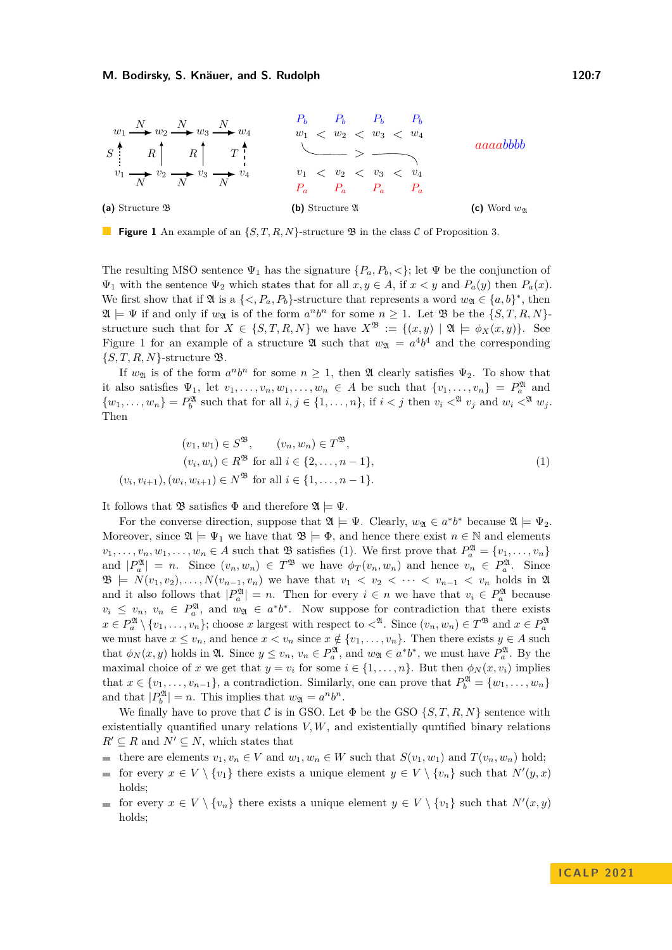<span id="page-6-0"></span>

**Figure 1** An example of an  $\{S, T, R, N\}$ -structure  $\mathfrak{B}$  in the class C of Proposition [3.](#page-5-0)

The resulting MSO sentence  $\Psi_1$  has the signature  $\{P_a, P_b, \langle\}\$ ; let  $\Psi$  be the conjunction of  $\Psi_1$  with the sentence  $\Psi_2$  which states that for all  $x, y \in A$ , if  $x < y$  and  $P_a(y)$  then  $P_a(x)$ . We first show that if  $\mathfrak{A}$  is a  $\{<, P_a, P_b\}$ -structure that represents a word  $w_{\mathfrak{A}} \in \{a, b\}^*$ , then  $\mathfrak{A} \models \Psi$  if and only if  $w_{\mathfrak{A}}$  is of the form  $a^n b^n$  for some  $n \geq 1$ . Let  $\mathfrak{B}$  be the  $\{S, T, R, N\}$ structure such that for  $X \in \{S, T, R, N\}$  we have  $X^{\mathfrak{B}} := \{(x, y) \mid \mathfrak{A} \models \phi_X(x, y)\}.$  See Figure [1](#page-6-0) for an example of a structure  $\mathfrak A$  such that  $w_{\mathfrak A} = a^4b^4$  and the corresponding  $\{S, T, R, N\}$ -structure **B**.

If  $w_{\mathfrak{A}}$  is of the form  $a^n b^n$  for some  $n \geq 1$ , then  $\mathfrak A$  clearly satisfies  $\Psi_2$ . To show that it also satisfies  $\Psi_1$ , let  $v_1, \ldots, v_n, w_1, \ldots, w_n \in A$  be such that  $\{v_1, \ldots, v_n\} = P_a^{\mathfrak{A}}$  and  $\{w_1,\ldots,w_n\} = P_b^{\mathfrak{A}}$  such that for all  $i, j \in \{1,\ldots,n\}$ , if  $i < j$  then  $v_i <^{\mathfrak{A}} v_j$  and  $w_i <^{\mathfrak{A}} w_j$ . Then

<span id="page-6-1"></span>
$$
(v_1, w_1) \in S^{\mathfrak{B}}, \qquad (v_n, w_n) \in T^{\mathfrak{B}},
$$
  
\n
$$
(v_i, w_i) \in R^{\mathfrak{B}} \text{ for all } i \in \{2, \dots, n-1\},
$$
  
\n
$$
(v_i, v_{i+1}), (w_i, w_{i+1}) \in N^{\mathfrak{B}} \text{ for all } i \in \{1, \dots, n-1\}.
$$
\n(1)

It follows that  $\mathfrak{B}$  satisfies  $\Phi$  and therefore  $\mathfrak{A} \models \Psi$ .

For the converse direction, suppose that  $\mathfrak{A} \models \Psi$ . Clearly,  $w_{\mathfrak{A}} \in a^*b^*$  because  $\mathfrak{A} \models \Psi_2$ . Moreover, since  $\mathfrak{A} \models \Psi_1$  we have that  $\mathfrak{B} \models \Phi$ , and hence there exist  $n \in \mathbb{N}$  and elements  $v_1, \ldots, v_n, w_1, \ldots, w_n \in A$  such that  $\mathfrak{B}$  satisfies [\(1\)](#page-6-1). We first prove that  $P_a^{\mathfrak{A}} = \{v_1, \ldots, v_n\}$ and  $|P_a^{\mathfrak{A}}| = n$ . Since  $(v_n, w_n) \in T^{\mathfrak{B}}$  we have  $\phi_T(v_n, w_n)$  and hence  $v_n \in P_a^{\mathfrak{A}}$ . Since **26**  $\uplus$  *N*(*v*<sub>1</sub>*, v*<sub>2</sub>)*,..., N*(*v*<sub>*n*−1</sub>*, v*<sub>*n*</sub>) we have that *v*<sub>1</sub> < *v*<sub>2</sub> < ··· < *v*<sub>*n*−1</sub> < *v*<sub>*n*</sub> holds in 24 and it also follows that  $|P_a^{\mathfrak{A}}| = n$ . Then for every  $i \in n$  we have that  $v_i \in P_a^{\mathfrak{A}}$  because  $v_i \leq v_n, v_n \in P_a^{\mathfrak{A}}, \text{ and } w_{\mathfrak{A}} \in a^*b^*.$  Now suppose for contradiction that there exists  $x \in P_a^{\mathfrak{A}} \setminus \{v_1, \ldots, v_n\}$ ; choose *x* largest with respect to  $\langle \mathcal{A}^{\mathfrak{A}} \rangle$ . Since  $(v_n, w_n) \in T^{\mathfrak{B}}$  and  $x \in P_a^{\mathfrak{A}}$ we must have  $x \le v_n$ , and hence  $x < v_n$  since  $x \notin \{v_1, \ldots, v_n\}$ . Then there exists  $y \in A$  such that  $\phi_N(x, y)$  holds in  $\mathfrak{A}$ . Since  $y \leq v_n$ ,  $v_n \in P_a^{\mathfrak{A}}$ , and  $w_{\mathfrak{A}} \in a^* b^*$ , we must have  $P_a^{\mathfrak{A}}$ . By the maximal choice of *x* we get that  $y = v_i$  for some  $i \in \{1, \ldots, n\}$ . But then  $\phi_N(x, v_i)$  implies that  $x \in \{v_1, \ldots, v_{n-1}\}$ , a contradiction. Similarly, one can prove that  $P_b^{\mathfrak{A}} = \{w_1, \ldots, w_n\}$ and that  $|P_b^{\mathfrak{A}}| = n$ . This implies that  $w_{\mathfrak{A}} = a^n b^n$ .

We finally have to prove that C is in GSO. Let  $\Phi$  be the GSO  $\{S, T, R, N\}$  sentence with existentially quantified unary relations  $V, W$ , and existentially quntified binary relations  $R' \subseteq R$  and  $N' \subseteq N$ , which states that

- there are elements  $v_1, v_n \in V$  and  $w_1, w_n \in W$  such that  $S(v_1, w_1)$  and  $T(v_n, w_n)$  hold;
- for every  $x \in V \setminus \{v_1\}$  there exists a unique element  $y \in V \setminus \{v_n\}$  such that  $N'(y, x)$ holds;
- for every  $x \in V \setminus \{v_n\}$  there exists a unique element  $y \in V \setminus \{v_1\}$  such that  $N'(x, y)$ holds;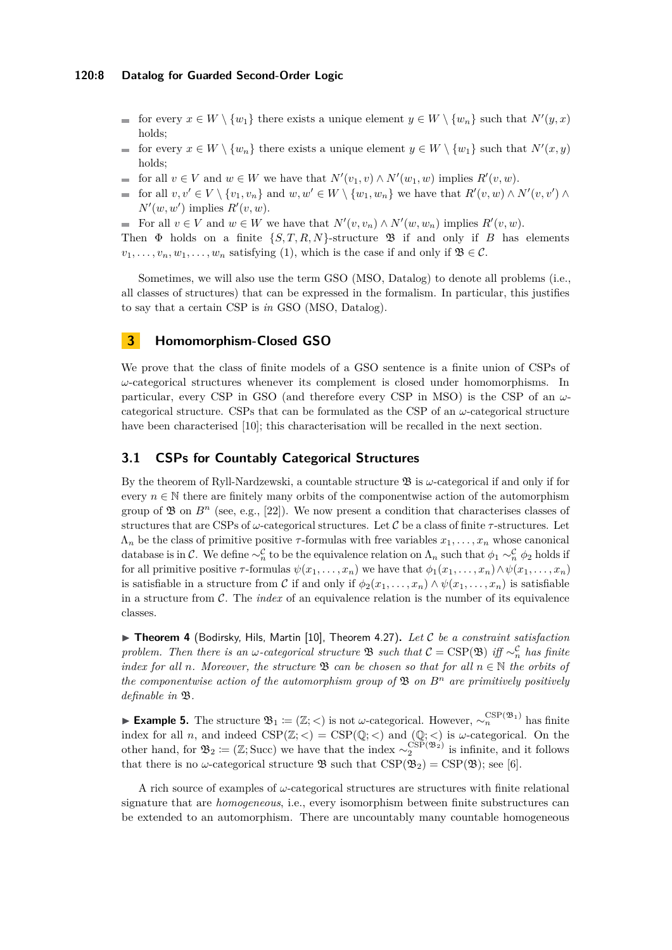- for every  $x \in W \setminus \{w_1\}$  there exists a unique element  $y \in W \setminus \{w_n\}$  such that  $N'(y, x)$ holds;
- for every  $x \in W \setminus \{w_n\}$  there exists a unique element  $y \in W \setminus \{w_1\}$  such that  $N'(x, y)$  $\rightarrow$ holds;
- for all  $v \in V$  and  $w \in W$  we have that  $N'(v_1, v) \wedge N'(w_1, w)$  implies  $R'(v, w)$ .
- for all  $v, v' \in V \setminus \{v_1, v_n\}$  and  $w, w' \in W \setminus \{w_1, w_n\}$  we have that  $R'(v, w) \wedge N'(v, v') \wedge$  $N'(w, w')$  implies  $R'(v, w)$ .
- For all  $v \in V$  and  $w \in W$  we have that  $N'(v, v_n) \wedge N'(w, w_n)$  implies  $R'(v, w)$ .

Then  $\Phi$  holds on a finite  $\{S, T, R, N\}$ -structure  $\mathfrak B$  if and only if *B* has elements  $v_1, \ldots, v_n, w_1, \ldots, w_n$  satisfying [\(1\)](#page-6-1), which is the case if and only if  $\mathfrak{B} \in \mathcal{C}$ .

Sometimes, we will also use the term GSO (MSO, Datalog) to denote all problems (i.e., all classes of structures) that can be expressed in the formalism. In particular, this justifies to say that a certain CSP is *in* GSO (MSO, Datalog).

## <span id="page-7-1"></span>**3 Homomorphism-Closed GSO**

We prove that the class of finite models of a GSO sentence is a finite union of CSPs of *ω*-categorical structures whenever its complement is closed under homomorphisms. In particular, every CSP in GSO (and therefore every CSP in MSO) is the CSP of an *ω*categorical structure. CSPs that can be formulated as the CSP of an  $\omega$ -categorical structure have been characterised [\[10\]](#page-15-6); this characterisation will be recalled in the next section.

## <span id="page-7-2"></span>**3.1 CSPs for Countably Categorical Structures**

By the theorem of Ryll-Nardzewski, a countable structure  $\mathfrak{B}$  is  $\omega$ -categorical if and only if for every  $n \in \mathbb{N}$  there are finitely many orbits of the componentwise action of the automorphism group of  $\mathfrak{B}$  on  $B^n$  (see, e.g., [\[22\]](#page-16-11)). We now present a condition that characterises classes of structures that are CSPs of *ω*-categorical structures. Let C be a class of finite *τ* -structures. Let  $\Lambda_n$  be the class of primitive positive *τ*-formulas with free variables  $x_1, \ldots, x_n$  whose canonical database is in C. We define  $\sim_n^C$  to be the equivalence relation on  $\Lambda_n$  such that  $\phi_1 \sim_n^C \phi_2$  holds if for all primitive positive  $\tau$ -formulas  $\psi(x_1, \ldots, x_n)$  we have that  $\phi_1(x_1, \ldots, x_n) \wedge \psi(x_1, \ldots, x_n)$ is satisfiable in a structure from C if and only if  $\phi_2(x_1, \ldots, x_n) \wedge \psi(x_1, \ldots, x_n)$  is satisfiable in a structure from C. The *index* of an equivalence relation is the number of its equivalence classes.

<span id="page-7-0"></span>▶ **Theorem 4** (Bodirsky, Hils, Martin [\[10\]](#page-15-6), Theorem 4.27)**.** *Let* C *be a constraint satisfaction problem. Then there is an ω*-*categorical structure*  $\mathfrak{B}$  *such that*  $\mathcal{C} = \text{CSP}(\mathfrak{B})$  *iff* ∼ $_n^{\mathcal{C}}$  *has finite index for all n. Moreover, the structure*  $\mathcal{B}$  *can be chosen so that for all*  $n \in \mathbb{N}$  *the orbits of the componentwise action of the automorphism group of* B *on B<sup>n</sup> are primitively positively definable in* B*.*

**Example 5.** The structure  $\mathfrak{B}_1 \coloneqq (\mathbb{Z}; <)$  is not *ω*-categorical. However,  $\sim_n^{\text{CSP}(\mathfrak{B}_1)}$  has finite index for all *n*, and indeed  $CSP(\mathbb{Z}; <) = CSP(\mathbb{Q}; <)$  and  $(\mathbb{Q}; <)$  is  $\omega$ -categorical. On the other hand, for  $\mathfrak{B}_2 \coloneqq (\mathbb{Z}; \text{Succ})$  we have that the index  $\sim_2^{\text{CSP}(\mathfrak{B}_2)}$  is infinite, and it follows that there is no *ω*-categorical structure  $\mathfrak{B}$  such that  $CSP(\mathfrak{B}_2) = CSP(\mathfrak{B})$ ; see [\[6\]](#page-15-1).

A rich source of examples of *ω*-categorical structures are structures with finite relational signature that are *homogeneous*, i.e., every isomorphism between finite substructures can be extended to an automorphism. There are uncountably many countable homogeneous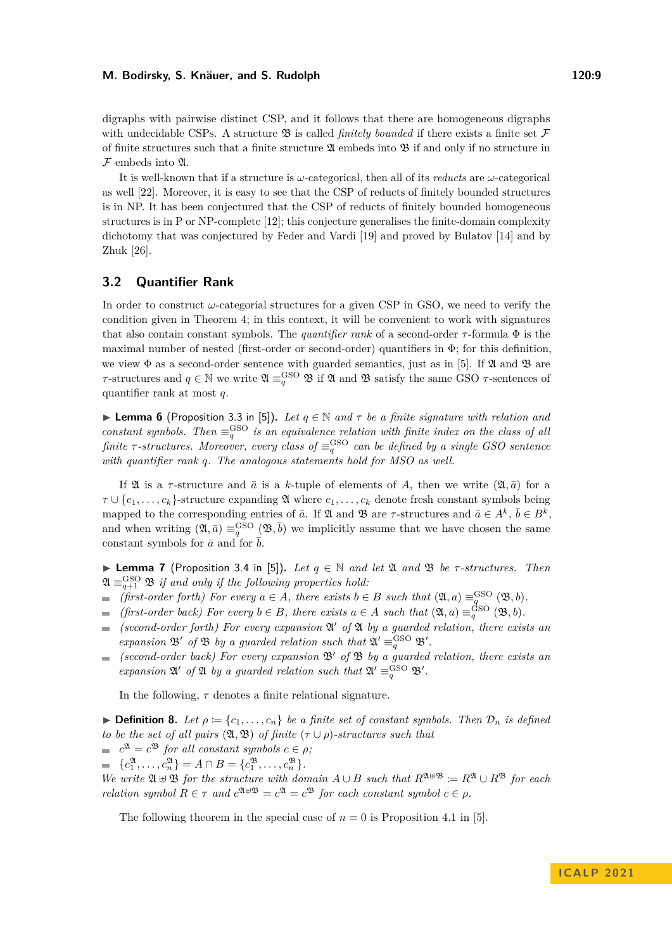digraphs with pairwise distinct CSP, and it follows that there are homogeneous digraphs with undecidable CSPs. A structure  $\mathfrak B$  is called *finitely bounded* if there exists a finite set  $\mathcal F$ of finite structures such that a finite structure  $\mathfrak A$  embeds into  $\mathfrak B$  if and only if no structure in  $F$  embeds into  $\mathfrak{A}$ .

It is well-known that if a structure is *ω*-categorical, then all of its *reducts* are *ω*-categorical as well [\[22\]](#page-16-11). Moreover, it is easy to see that the CSP of reducts of finitely bounded structures is in NP. It has been conjectured that the CSP of reducts of finitely bounded homogeneous structures is in P or NP-complete [\[12\]](#page-16-12); this conjecture generalises the finite-domain complexity dichotomy that was conjectured by Feder and Vardi [\[19\]](#page-16-5) and proved by Bulatov [\[14\]](#page-16-13) and by Zhuk [\[26\]](#page-16-14).

## **3.2 Quantifier Rank**

In order to construct *ω*-categorial structures for a given CSP in GSO, we need to verify the condition given in Theorem [4;](#page-7-0) in this context, it will be convenient to work with signatures that also contain constant symbols. The *quantifier rank* of a second-order  $\tau$ -formula  $\Phi$  is the maximal number of nested (first-order or second-order) quantifiers in  $\Phi$ ; for this definition, we view  $\Phi$  as a second-order sentence with guarded semantics, just as in [\[5\]](#page-15-7). If  $\mathfrak A$  and  $\mathfrak B$  are *τ*-structures and  $q \in \mathbb{N}$  we write  $\mathfrak{A} \equiv_q^{\text{GSO}} \mathfrak{B}$  if  $\mathfrak{A}$  and  $\mathfrak{B}$  satisfy the same GSO *τ*-sentences of quantifier rank at most *q*.

<span id="page-8-1"></span>**► Lemma 6** (Proposition 3.3 in [\[5\]](#page-15-7)). Let  $q \in \mathbb{N}$  and  $\tau$  be a finite signature with relation and *constant symbols. Then*  $\equiv_q^{\text{GSO}}$  *is an equivalence relation with finite index on the class of all finite*  $\tau$ -structures. Moreover, every class of  $\equiv_q^{\rm GSO}$  can be defined by a single GSO sentence *with quantifier rank q. The analogous statements hold for MSO as well.*

If  $\mathfrak A$  is a  $\tau$ -structure and  $\bar a$  is a *k*-tuple of elements of *A*, then we write  $(\mathfrak A, \bar a)$  for a  $\tau \cup \{c_1, \ldots, c_k\}$ -structure expanding  $\mathfrak{A}$  where  $c_1, \ldots, c_k$  denote fresh constant symbols being mapped to the corresponding entries of  $\bar{a}$ . If  $\mathfrak{A}$  and  $\mathfrak{B}$  are  $\tau$ -structures and  $\bar{a} \in A^k$ ,  $\bar{b} \in B^k$ , and when writing  $(2\mathfrak{A}, \bar{a}) \equiv_q^{\text{GSO}} (2\mathfrak{B}, \bar{b})$  we implicitly assume that we have chosen the same constant symbols for  $\bar{a}$  and for  $\bar{b}$ .

<span id="page-8-0"></span>▶ **Lemma 7** (Proposition 3.4 in [\[5\]](#page-15-7))**.** *Let q* ∈ N *and let* A *and* B *be τ -structures. Then*  $\mathfrak{A} \equiv_{q+1}^{\text{GSO}} \mathfrak{B}$  *if and only if the following properties hold:* 

- *(first-order forth) For every*  $a \in A$ *, there exists*  $b \in B$  *such that*  $(\mathfrak{A}, a) \equiv_{q}^{\text{GSO}} (\mathfrak{B}, b)$ *.*
- *(first-order back) For every*  $b \in B$ *, there exists*  $a \in A$  *such that*  $(\mathfrak{A}, a) \equiv_{q}^{\text{GSO}} (\mathfrak{B}, b)$ *.*
- *(second-order forth) For every expansion* A ′ *of* A *by a guarded relation, there exists an*  $\equiv$ *expansion*  $\mathfrak{B}'$  *of*  $\mathfrak{B}$  *by a guarded relation such that*  $\mathfrak{A}' \equiv_q^{\mathrm{GSO}} \mathfrak{B}'$ *.*
- *(second-order back) For every expansion* B′ *of* B *by a guarded relation, there exists an expansion*  $\mathfrak{A}'$  *of*  $\mathfrak{A}$  *by a guarded relation such that*  $\mathfrak{A}' \equiv_q^{\text{GSO}} \mathfrak{B}'$ *.*

In the following,  $\tau$  denotes a finite relational signature.

<span id="page-8-3"></span> $\blacktriangleright$  **Definition 8.** Let  $\rho := \{c_1, \ldots, c_n\}$  be a finite set of constant symbols. Then  $\mathcal{D}_n$  is defined *to be the set of all pairs*  $(\mathfrak{A}, \mathfrak{B})$  *of finite*  $(\tau \cup \rho)$ *-structures such that* 

 $c^{\mathfrak{A}} = c^{\mathfrak{B}}$  *for all constant symbols*  $c \in \rho$ *;* 

 ${c_1^{\mathfrak{A}}, \ldots, c_n^{\mathfrak{A}}} = A \cap B = {c_1^{\mathfrak{B}}, \ldots, c_n^{\mathfrak{B}}}$ .

*We write*  $\mathfrak{A} \cup \mathfrak{B}$  *for the structure with domain*  $A \cup B$  *such that*  $R^{\mathfrak{A} \cup \mathfrak{B}} \coloneqq R^{\mathfrak{A}} \cup R^{\mathfrak{B}}$  *for each relation symbol*  $R \in \tau$  *and*  $c^{\mathfrak{A} \oplus \mathfrak{B}} = c^{\mathfrak{A}} = c^{\mathfrak{B}}$  *for each constant symbol*  $c \in \rho$ *.* 

<span id="page-8-2"></span>The following theorem in the special case of  $n = 0$  is Proposition 4.1 in [\[5\]](#page-15-7).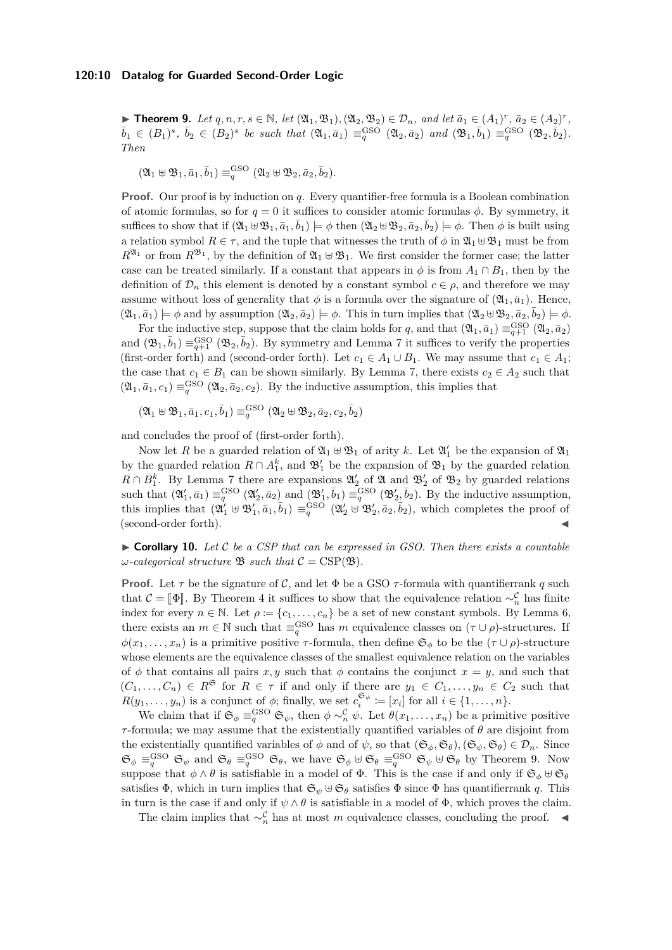▶ **Theorem 9.** Let  $q, n, r, s \in \mathbb{N}$ , let  $(\mathfrak{A}_1, \mathfrak{B}_1), (\mathfrak{A}_2, \mathfrak{B}_2) \in \mathcal{D}_n$ , and let  $\bar{a}_1 \in (A_1)^r$ ,  $\bar{a}_2 \in (A_2)^r$ ,  $\bar{b}_1 \in (B_1)^s$ ,  $\bar{b}_2 \in (B_2)^s$  be such that  $(\mathfrak{A}_1, \bar{a}_1) \equiv_q^{\text{GSO}} (\mathfrak{A}_2, \bar{a}_2)$  and  $(\mathfrak{B}_1, \bar{b}_1) \equiv_q^{\text{GSO}} (\mathfrak{B}_2, \bar{b}_2)$ . *Then*

$$
(\mathfrak{A}_1 \uplus \mathfrak{B}_1, \bar{a}_1, \bar{b}_1) \equiv^{\mathrm{GSO}}_{q} (\mathfrak{A}_2 \uplus \mathfrak{B}_2, \bar{a}_2, \bar{b}_2).
$$

**Proof.** Our proof is by induction on *q*. Every quantifier-free formula is a Boolean combination of atomic formulas, so for  $q = 0$  it suffices to consider atomic formulas  $\phi$ . By symmetry, it suffices to show that if  $(\mathfrak{A}_1 \oplus \mathfrak{B}_1, \bar{a}_1, \bar{b}_1) \models \phi$  then  $(\mathfrak{A}_2 \oplus \mathfrak{B}_2, \bar{a}_2, \bar{b}_2) \models \phi$ . Then  $\phi$  is built using a relation symbol  $R \in \tau$ , and the tuple that witnesses the truth of  $\phi$  in  $\mathfrak{A}_1 \oplus \mathfrak{B}_1$  must be from  $R^{\mathfrak{A}_1}$  or from  $R^{\mathfrak{B}_1}$ , by the definition of  $\mathfrak{A}_1 \oplus \mathfrak{B}_1$ . We first consider the former case; the latter case can be treated similarly. If a constant that appears in  $\phi$  is from  $A_1 \cap B_1$ , then by the definition of  $\mathcal{D}_n$  this element is denoted by a constant symbol  $c \in \rho$ , and therefore we may assume without loss of generality that  $\phi$  is a formula over the signature of  $(\mathfrak{A}_1, \bar{a}_1)$ . Hence,  $(\mathfrak{A}_1, \bar{a}_1) \models \phi$  and by assumption  $(\mathfrak{A}_2, \bar{a}_2) \models \phi$ . This in turn implies that  $(\mathfrak{A}_2 \oplus \mathfrak{B}_2, \bar{a}_2, \bar{b}_2) \models \phi$ .

For the inductive step, suppose that the claim holds for *q*, and that  $(\mathfrak{A}_1, \bar{a}_1) \equiv_{q+1}^{\text{GSO}} (\mathfrak{A}_2, \bar{a}_2)$ and  $(\mathfrak{B}_1, \bar{b}_1) \equiv_{q+1}^{\text{GSO}} (\mathfrak{B}_2, \bar{b}_2)$ . By symmetry and Lemma [7](#page-8-0) it suffices to verify the properties (first-order forth) and (second-order forth). Let  $c_1 \in A_1 \cup B_1$ . We may assume that  $c_1 \in A_1$ ; the case that  $c_1 \in B_1$  can be shown similarly. By Lemma [7,](#page-8-0) there exists  $c_2 \in A_2$  such that  $(\mathfrak{A}_1, \bar{a}_1, c_1) \equiv_q^{\text{GSO}} (\mathfrak{A}_2, \bar{a}_2, c_2)$ . By the inductive assumption, this implies that

 $\left(\mathfrak{A}_{1}\uplus\mathfrak{B}_{1},\bar{a}_{1},c_{1},\bar{b}_{1}\right)\equiv_{q}^{\mathrm{GSO}}\left(\mathfrak{A}_{2}\uplus\mathfrak{B}_{2},\bar{a}_{2},c_{2},\bar{b}_{2}\right)$ 

and concludes the proof of (first-order forth).

Now let *R* be a guarded relation of  $\mathfrak{A}_1 \oplus \mathfrak{B}_1$  of arity *k*. Let  $\mathfrak{A}'_1$  be the expansion of  $\mathfrak{A}_1$ by the guarded relation  $R \cap A_1^k$ , and  $\mathfrak{B}'_1$  be the expansion of  $\mathfrak{B}_1$  by the guarded relation  $R \cap B_1^k$ . By Lemma [7](#page-8-0) there are expansions  $\mathfrak{A}'_2$  of  $\mathfrak{A}$  and  $\mathfrak{B}'_2$  of  $\mathfrak{B}_2$  by guarded relations such that  $(\mathfrak{A}'_1, \bar{a}_1) \equiv_q^{\text{GSO}} (\mathfrak{A}'_2, \bar{a}_2)$  and  $(\mathfrak{B}'_1, \bar{b}_1) \equiv_q^{\text{GSO}} (\mathfrak{B}'_2, \bar{b}_2)$ . By the inductive assumption, this implies that  $(\mathfrak{A}'_1 \oplus \mathfrak{B}'_1, \bar{a}_1, \bar{b}_1) \equiv_q^{\text{GSO}} (\mathfrak{A}'_2 \oplus \mathfrak{B}'_2, \bar{a}_2, \bar{b}_2)$ , which completes the proof of  $(\text{second-order forth}).$ 

<span id="page-9-0"></span> $\triangleright$  **Corollary 10.** Let C be a CSP that can be expressed in GSO. Then there exists a countable *ω*-*categorical structure*  $\mathfrak{B}$  *such that*  $\mathcal{C} = \mathrm{CSP}(\mathfrak{B})$ *.* 

**Proof.** Let  $\tau$  be the signature of  $\mathcal{C}$ , and let  $\Phi$  be a GSO  $\tau$ -formula with quantifierrank  $q$  such that  $\mathcal{C} = [\![\Phi]\!]$ . By Theorem [4](#page-7-0) it suffices to show that the equivalence relation  $\sim^{\mathcal{C}}_n$  has finite index for every  $n \in \mathbb{N}$ . Let  $\rho := \{c_1, \ldots, c_n\}$  be a set of new constant symbols. By Lemma [6,](#page-8-1) there exists an  $m \in \mathbb{N}$  such that  $\equiv_q^{\text{GSO}}$  has  $m$  equivalence classes on  $(\tau \cup \rho)$ -structures. If  $\phi(x_1, \ldots, x_n)$  is a primitive positive *τ*-formula, then define  $\mathfrak{S}_{\phi}$  to be the  $(\tau \cup \rho)$ -structure whose elements are the equivalence classes of the smallest equivalence relation on the variables of  $\phi$  that contains all pairs *x*, *y* such that  $\phi$  contains the conjunct *x* = *y*, and such that  $(C_1, \ldots, C_n) \in R^{\mathfrak{S}}$  for  $R \in \tau$  if and only if there are  $y_1 \in C_1, \ldots, y_n \in C_2$  such that  $R(y_1, \ldots, y_n)$  is a conjunct of  $\phi$ ; finally, we set  $c_i^{\mathfrak{S}_{\phi}} := [x_i]$  for all  $i \in \{1, \ldots, n\}$ .

We claim that if  $\mathfrak{S}_{\phi} \equiv_q^{\text{GSO}} \mathfrak{S}_{\psi}$ , then  $\phi \sim_n^{\mathcal{C}} \psi$ . Let  $\theta(x_1, \ldots, x_n)$  be a primitive positive *τ*-formula; we may assume that the existentially quantified variables of *θ* are disjoint from the existentially quantified variables of  $\phi$  and of  $\psi$ , so that  $(\mathfrak{S}_{\phi}, \mathfrak{S}_{\theta}), (\mathfrak{S}_{\psi}, \mathfrak{S}_{\theta}) \in \mathcal{D}_n$ . Since  $\mathfrak{S}_{\phi} \equiv_{q}^{\mathrm{GSO}} \mathfrak{S}_{\psi}$  and  $\mathfrak{S}_{\theta} \equiv_{q}^{\mathrm{GSO}} \mathfrak{S}_{\phi}$ , we have  $\mathfrak{S}_{\phi} \uplus \mathfrak{S}_{\theta} \equiv_{q}^{\mathrm{GSO}} \mathfrak{S}_{\psi} \uplus \mathfrak{S}_{\theta}$  by Theorem [9.](#page-8-2) Now suppose that  $\phi \wedge \theta$  is satisfiable in a model of  $\Phi$ . This is the case if and only if  $\mathfrak{S}_{\phi} \uplus \mathfrak{S}_{\theta}$ satisfies  $\Phi$ , which in turn implies that  $\mathfrak{S}_{\psi} \cup \mathfrak{S}_{\theta}$  satisfies  $\Phi$  since  $\Phi$  has quantifierrank *q*. This in turn is the case if and only if  $\psi \wedge \theta$  is satisfiable in a model of  $\Phi$ , which proves the claim.

The claim implies that  $\sim_n^{\mathcal{C}}$  has at most *m* equivalence classes, concluding the proof.  $\blacktriangleleft$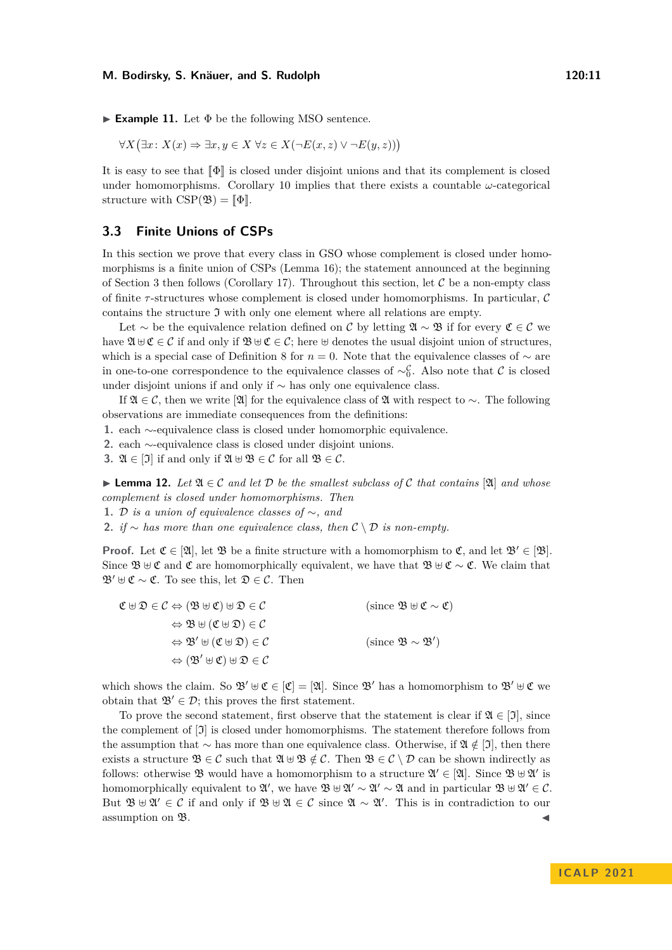$$
\forall X (\exists x \colon X(x) \Rightarrow \exists x, y \in X \,\forall z \in X(\neg E(x, z) \lor \neg E(y, z)))
$$

It is easy to see that  $\llbracket \Phi \rrbracket$  is closed under disjoint unions and that its complement is closed under homomorphisms. Corollary [10](#page-9-0) implies that there exists a countable  $\omega$ -categorical structure with  $CSP(\mathfrak{B}) = \llbracket \Phi \rrbracket$ .

## **3.3 Finite Unions of CSPs**

In this section we prove that every class in GSO whose complement is closed under homomorphisms is a finite union of CSPs (Lemma [16\)](#page-11-0); the statement announced at the beginning of Section [3](#page-7-1) then follows (Corollary [17\)](#page-11-1). Throughout this section, let  $\mathcal C$  be a non-empty class of finite *τ* -structures whose complement is closed under homomorphisms. In particular, C contains the structure  $\mathfrak I$  with only one element where all relations are empty.

Let  $\sim$  be the equivalence relation defined on C by letting  $\mathfrak{A} \sim \mathfrak{B}$  if for every  $\mathfrak{C} \in \mathcal{C}$  we have  $\mathfrak{A} \oplus \mathfrak{C} \in \mathcal{C}$  if and only if  $\mathfrak{B} \oplus \mathfrak{C} \in \mathcal{C}$ ; here  $\oplus$  denotes the usual disjoint union of structures, which is a special case of Definition [8](#page-8-3) for *n* = 0. Note that the equivalence classes of ∼ are in one-to-one correspondence to the equivalence classes of  $\sim_C^C$ . Also note that C is closed under disjoint unions if and only if ∼ has only one equivalence class.

If  $\mathfrak{A} \in \mathcal{C}$ , then we write  $[\mathfrak{A}]$  for the equivalence class of  $\mathfrak{A}$  with respect to  $\sim$ . The following observations are immediate consequences from the definitions:

**1.** each ∼-equivalence class is closed under homomorphic equivalence.

**2.** each ∼-equivalence class is closed under disjoint unions.

**3.**  $\mathfrak{A} \in [\mathfrak{I}]$  if and only if  $\mathfrak{A} \oplus \mathfrak{B} \in \mathcal{C}$  for all  $\mathfrak{B} \in \mathcal{C}$ .

<span id="page-10-0"></span>▶ **Lemma 12.** *Let* A ∈ C *and let* D *be the smallest subclass of* C *that contains* [A] *and whose complement is closed under homomorphisms. Then*

**1.** D *is a union of equivalence classes of* ∼*, and*

2. *if* ∼ *has more than one equivalence class, then*  $C \setminus D$  *is non-empty.* 

**Proof.** Let  $\mathfrak{C} \in [\mathfrak{A}]$ , let  $\mathfrak{B}$  be a finite structure with a homomorphism to  $\mathfrak{C}$ , and let  $\mathfrak{B}' \in [\mathfrak{B}]$ . Since  $\mathfrak{B} \uplus \mathfrak{C}$  and  $\mathfrak{C}$  are homomorphically equivalent, we have that  $\mathfrak{B} \uplus \mathfrak{C} \sim \mathfrak{C}$ . We claim that  $\mathfrak{B}' \oplus \mathfrak{C} \sim \mathfrak{C}$ . To see this, let  $\mathfrak{D} \in \mathcal{C}$ . Then

| $\mathfrak{C} \boxplus \mathfrak{D} \in \mathcal{C} \Leftrightarrow (\mathfrak{B} \boxplus \mathfrak{C}) \boxplus \mathfrak{D} \in \mathcal{C}$ | (since $\mathfrak{B} \oplus \mathfrak{C} \sim \mathfrak{C}$ ) |
|-------------------------------------------------------------------------------------------------------------------------------------------------|---------------------------------------------------------------|
| $\Leftrightarrow \mathfrak{B} \boxplus (\mathfrak{C} \boxplus \mathfrak{D}) \in \mathcal{C}$                                                    |                                                               |
| $\Leftrightarrow \mathfrak{B}' \uplus (\mathfrak{C} \uplus \mathfrak{D}) \in \mathcal{C}$                                                       | (since $\mathfrak{B} \sim \mathfrak{B}'$ )                    |
| $\Leftrightarrow (\mathfrak{B}' \uplus \mathfrak{C}) \uplus \mathfrak{D} \in \mathcal{C}$                                                       |                                                               |

which shows the claim. So  $\mathfrak{B}' \oplus \mathfrak{C} \in [\mathfrak{C}] = [\mathfrak{A}]$ . Since  $\mathfrak{B}'$  has a homomorphism to  $\mathfrak{B}' \oplus \mathfrak{C}$  we obtain that  $\mathfrak{B}' \in \mathcal{D}$ ; this proves the first statement.

To prove the second statement, first observe that the statement is clear if  $\mathfrak{A} \in [\mathfrak{I}]$ , since the complement of [I] is closed under homomorphisms. The statement therefore follows from the assumption that ∼ has more than one equivalence class. Otherwise, if A ∈*/* [I], then there exists a structure  $\mathfrak{B} \in \mathcal{C}$  such that  $\mathfrak{A} \oplus \mathfrak{B} \notin \mathcal{C}$ . Then  $\mathfrak{B} \in \mathcal{C} \setminus \mathcal{D}$  can be shown indirectly as follows: otherwise  $\mathfrak{B}$  would have a homomorphism to a structure  $\mathfrak{A}' \in [\mathfrak{A}]$ . Since  $\mathfrak{B} \oplus \mathfrak{A}'$  is homomorphically equivalent to  $\mathfrak{A}',$  we have  $\mathfrak{B} \uplus \mathfrak{A}' \sim \mathfrak{A}' \sim \mathfrak{A}$  and in particular  $\mathfrak{B} \uplus \mathfrak{A}' \in \mathcal{C}$ . But  $\mathfrak{B} \cup \mathfrak{A}' \in \mathcal{C}$  if and only if  $\mathfrak{B} \cup \mathfrak{A} \in \mathcal{C}$  since  $\mathfrak{A} \sim \mathfrak{A}'$ . This is in contradiction to our assumption on  $\mathfrak{B}.$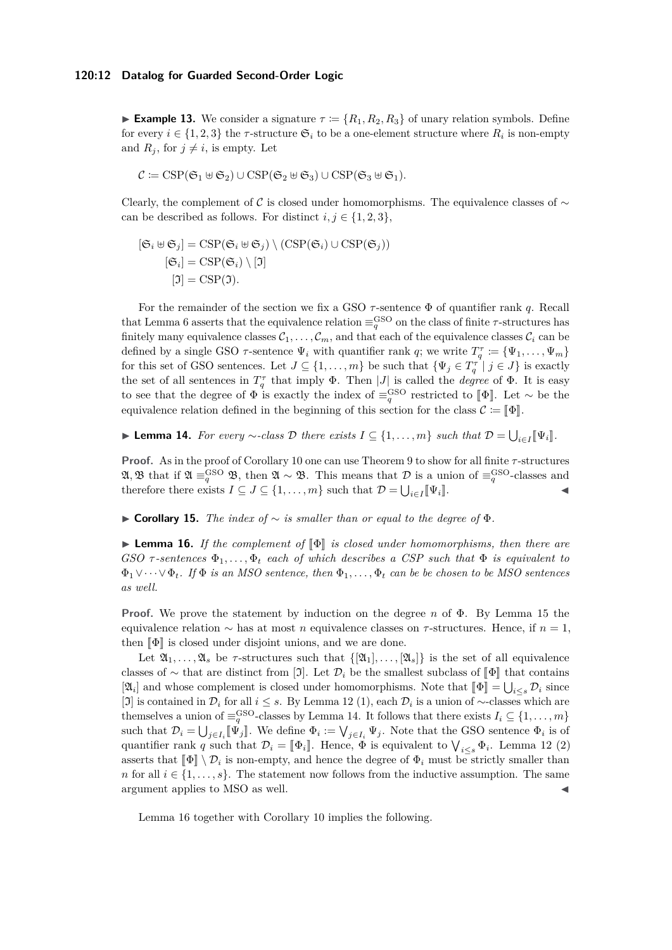**Example 13.** We consider a signature  $\tau = \{R_1, R_2, R_3\}$  of unary relation symbols. Define for every  $i \in \{1, 2, 3\}$  the  $\tau$ -structure  $\mathfrak{S}_i$  to be a one-element structure where  $R_i$  is non-empty and  $R_j$ , for  $j \neq i$ , is empty. Let

$$
\mathcal{C} \coloneqq \operatorname{CSP}(\mathfrak{S}_1 \uplus \mathfrak{S}_2) \cup \operatorname{CSP}(\mathfrak{S}_2 \uplus \mathfrak{S}_3) \cup \operatorname{CSP}(\mathfrak{S}_3 \uplus \mathfrak{S}_1).
$$

Clearly, the complement of C is closed under homomorphisms. The equivalence classes of  $\sim$ can be described as follows. For distinct  $i, j \in \{1, 2, 3\}$ ,

$$
[\mathfrak{S}_i \oplus \mathfrak{S}_j] = \text{CSP}(\mathfrak{S}_i \oplus \mathfrak{S}_j) \setminus (\text{CSP}(\mathfrak{S}_i) \cup \text{CSP}(\mathfrak{S}_j))
$$

$$
[\mathfrak{S}_i] = \text{CSP}(\mathfrak{S}_i) \setminus [\mathfrak{I}]
$$

$$
[\mathfrak{I}] = \text{CSP}(\mathfrak{I}).
$$

For the remainder of the section we fix a GSO *τ* -sentence Φ of quantifier rank *q*. Recall that Lemma [6](#page-8-1) asserts that the equivalence relation  $\equiv_q^{\rm GSO}$  on the class of finite *τ*-structures has finitely many equivalence classes  $C_1, \ldots, C_m$ , and that each of the equivalence classes  $C_i$  can be defined by a single GSO  $\tau$ -sentence  $\Psi_i$  with quantifier rank *q*; we write  $T_q^{\tau} \coloneqq {\Psi_1, \ldots, \Psi_m}$ for this set of GSO sentences. Let  $J \subseteq \{1, \ldots, m\}$  be such that  $\{\Psi_j \in T_q^{\tau} \mid j \in J\}$  is exactly the set of all sentences in  $T_q^{\tau}$  that imply  $\Phi$ . Then |*J*| is called the *degree* of  $\Phi$ . It is easy to see that the degree of  $\Phi$  is exactly the index of  $\equiv_q^{\text{GSO}}$  restricted to  $\llbracket \Phi \rrbracket$ . Let ∼ be the equivalence relation defined in the beginning of this section for the class  $\mathcal{C} := \llbracket \Phi \rrbracket$ 

<span id="page-11-3"></span>▶ **Lemma 14.** For every  $\sim$ -class  $\mathcal{D}$  there exists  $I \subseteq \{1, \ldots, m\}$  such that  $\mathcal{D} = \bigcup_{i \in I} [\![\Psi_i]\!]$ .

**Proof.** As in the proof of Corollary [10](#page-9-0) one can use Theorem [9](#page-8-2) to show for all finite *τ* -structures  $\mathfrak{A}, \mathfrak{B}$  that if  $\mathfrak{A} \equiv_q^{\mathrm{GSO}} \mathfrak{B}$ , then  $\mathfrak{A} \sim \mathfrak{B}$ . This means that  $\mathcal D$  is a union of  $\equiv_q^{\mathrm{GSO}}$ -classes and therefore there exists  $I \subseteq J \subseteq \{1, ..., m\}$  such that  $\mathcal{D} = \bigcup_{i \in I} [\![\Psi_i]\!]$ .

<span id="page-11-2"></span>▶ **Corollary 15.** *The index of* ∼ *is smaller than or equal to the degree of* Φ*.*

<span id="page-11-0"></span>**► Lemma 16.** *If the complement of*  $\Phi$  *is closed under homomorphisms, then there are GSO*  $\tau$ -sentences  $\Phi_1, \ldots, \Phi_t$  *each of which describes a CSP such that*  $\Phi$  *is equivalent to* Φ1∨· · ·∨Φ*t. If* Φ *is an MSO sentence, then* Φ1*, . . . ,* Φ*<sup>t</sup> can be be chosen to be MSO sentences as well.*

**Proof.** We prove the statement by induction on the degree *n* of Φ. By Lemma [15](#page-11-2) the equivalence relation ∼ has at most *n* equivalence classes on *τ* -structures. Hence, if *n* = 1, then  $\llbracket \Phi \rrbracket$  is closed under disjoint unions, and we are done.

Let  $\mathfrak{A}_1,\ldots,\mathfrak{A}_s$  be  $\tau$ -structures such that  $\{\mathfrak{A}_1,\ldots,\mathfrak{A}_s\}$  is the set of all equivalence classes of  $\sim$  that are distinct from [J]. Let  $\mathcal{D}_i$  be the smallest subclass of  $\llbracket \Phi \rrbracket$  that contains  $[\mathfrak{A}_i]$  and whose complement is closed under homomorphisms. Note that  $[\![\Phi]\!] = \bigcup_{i \leq s} \mathcal{D}_i$  since  $[\![\mathfrak{A}]\!]$  is contained in  $\mathcal{D}_i$  for all  $i \leq s$ . By Lamma 19.(1), such  $\mathcal{D}_i$  is a union of colorate wh [J] is contained in  $\mathcal{D}_i$  for all  $i \leq s$ . By Lemma [12](#page-10-0) (1), each  $\mathcal{D}_i$  is a union of ∼-classes which are themselves a union of  $\equiv_q^{\text{GSO}}$ -classes by Lemma [14.](#page-11-3) It follows that there exists  $I_i \subseteq \{1, \ldots, m\}$ such that  $\mathcal{D}_i = \bigcup_{j \in I_i} [\![\Psi_j]\!]$ . We define  $\Phi_i := \bigvee_{j \in I_i} \Psi_j$ . Note that the GSO sentence  $\Phi_i$  is of quantifier rank *q* such that  $\mathcal{D}_i = [\![\Phi_i]\!]$ . Hence,  $\Phi$  is equivalent to  $\bigvee_{i \leq s} \Phi_i$ . Lemma [12](#page-10-0) (2) asserts that  $\llbracket \Phi \rrbracket \setminus \mathcal{D}_i$  is non-empty, and hence the degree of  $\Phi_i$  must be strictly smaller than *n* for all  $i \in \{1, \ldots, s\}$ . The statement now follows from the inductive assumption. The same argument applies to MSO as well.

<span id="page-11-1"></span>Lemma [16](#page-11-0) together with Corollary [10](#page-9-0) implies the following.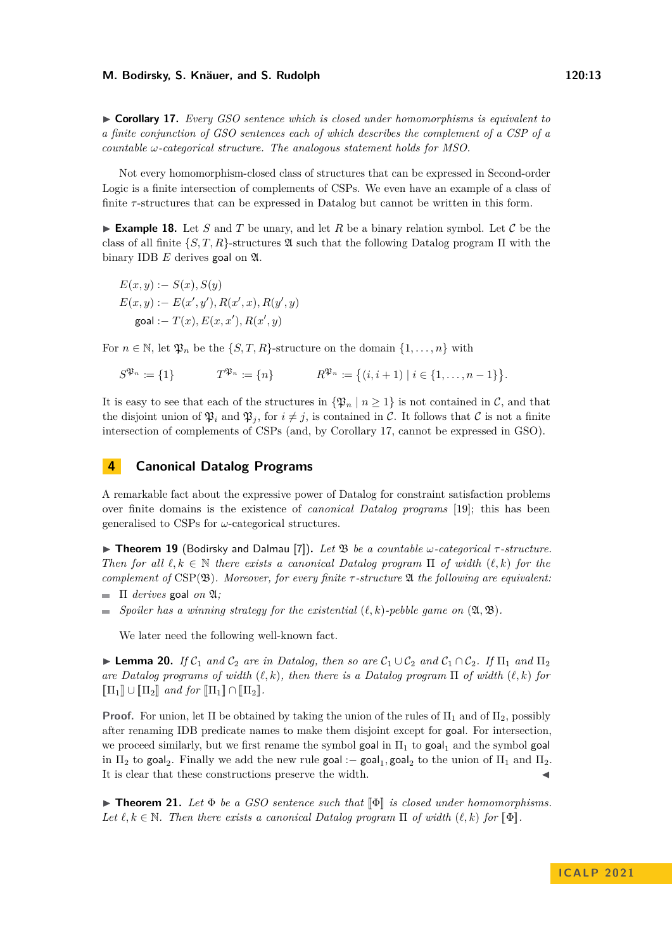▶ **Corollary 17.** *Every GSO sentence which is closed under homomorphisms is equivalent to a finite conjunction of GSO sentences each of which describes the complement of a CSP of a countable ω-categorical structure. The analogous statement holds for MSO.*

Not every homomorphism-closed class of structures that can be expressed in Second-order Logic is a finite intersection of complements of CSPs. We even have an example of a class of finite  $\tau$ -structures that can be expressed in Datalog but cannot be written in this form.

<span id="page-12-2"></span>**Example 18.** Let *S* and *T* be unary, and let *R* be a binary relation symbol. Let  $C$  be the class of all finite  $\{S, T, R\}$ -structures  $\mathfrak A$  such that the following Datalog program  $\Pi$  with the binary IDB *E* derives goal on A.

$$
E(x, y) := S(x), S(y)
$$
  
\n
$$
E(x, y) := E(x', y'), R(x', x), R(y', y)
$$
  
\n
$$
goal := T(x), E(x, x'), R(x', y)
$$

For  $n \in \mathbb{N}$ , let  $\mathfrak{P}_n$  be the  $\{S, T, R\}$ -structure on the domain  $\{1, \ldots, n\}$  with

$$
S^{\mathfrak{P}_n} \coloneqq \{1\} \qquad T^{\mathfrak{P}_n} \coloneqq \{n\} \qquad R^{\mathfrak{P}_n} \coloneqq \{(i, i+1) \mid i \in \{1, \ldots, n-1\}\}.
$$

It is easy to see that each of the structures in  $\{\mathfrak{P}_n \mid n \geq 1\}$  is not contained in C, and that the disjoint union of  $\mathfrak{P}_i$  and  $\mathfrak{P}_j$ , for  $i \neq j$ , is contained in C. It follows that C is not a finite intersection of complements of CSPs (and, by Corollary [17,](#page-11-1) cannot be expressed in GSO).

## <span id="page-12-1"></span>**4 Canonical Datalog Programs**

A remarkable fact about the expressive power of Datalog for constraint satisfaction problems over finite domains is the existence of *canonical Datalog programs* [\[19\]](#page-16-5); this has been generalised to CSPs for *ω*-categorical structures.

<span id="page-12-0"></span>▶ **Theorem 19** (Bodirsky and Dalmau [\[7\]](#page-15-2))**.** *Let* B *be a countable ω-categorical τ -structure. Then for all*  $\ell, k \in \mathbb{N}$  *there exists a canonical Datalog program*  $\Pi$  *of width*  $(\ell, k)$  *for the complement of* CSP(B)*. Moreover, for every finite τ -structure* A *the following are equivalent:*

- $\blacksquare$   $\Pi$  *derives* goal *on*  $\mathfrak{A}$ *;*
- *Spoiler has a winning strategy for the existential*  $(\ell, k)$ -pebble game on  $(\mathfrak{A}, \mathfrak{B})$ .  $\sim$

We later need the following well-known fact.

<span id="page-12-3"></span>▶ **Lemma 20.** *If*  $C_1$  *and*  $C_2$  *are in Datalog, then so are*  $C_1 \cup C_2$  *and*  $C_1 \cap C_2$ *. If*  $\Pi_1$  *and*  $\Pi_2$ *are Datalog programs of width* (*ℓ, k*)*, then there is a Datalog program* Π *of width* (*ℓ, k*) *for*  $\left[\prod_{1}\right]\cup\left[\prod_{2}\right]$  and for  $\left[\prod_{1}\right]\cap\left[\prod_{2}\right]$ .

**Proof.** For union, let  $\Pi$  be obtained by taking the union of the rules of  $\Pi_1$  and of  $\Pi_2$ , possibly after renaming IDB predicate names to make them disjoint except for goal. For intersection, we proceed similarly, but we first rename the symbol goal in  $\Pi_1$  to goal<sub>1</sub> and the symbol goal in  $\Pi_2$  to goal<sub>2</sub>. Finally we add the new rule goal :– goal<sub>1</sub>, goal<sub>2</sub> to the union of  $\Pi_1$  and  $\Pi_2$ . It is clear that these constructions preserve the width.

 $\blacktriangleright$  **Theorem 21.** Let  $\Phi$  be a GSO sentence such that  $\llbracket \Phi \rrbracket$  is closed under homomorphisms. *Let*  $\ell, k \in \mathbb{N}$ *. Then there exists a canonical Datalog program*  $\Pi$  *of width*  $(\ell, k)$  *for*  $\Psi$ .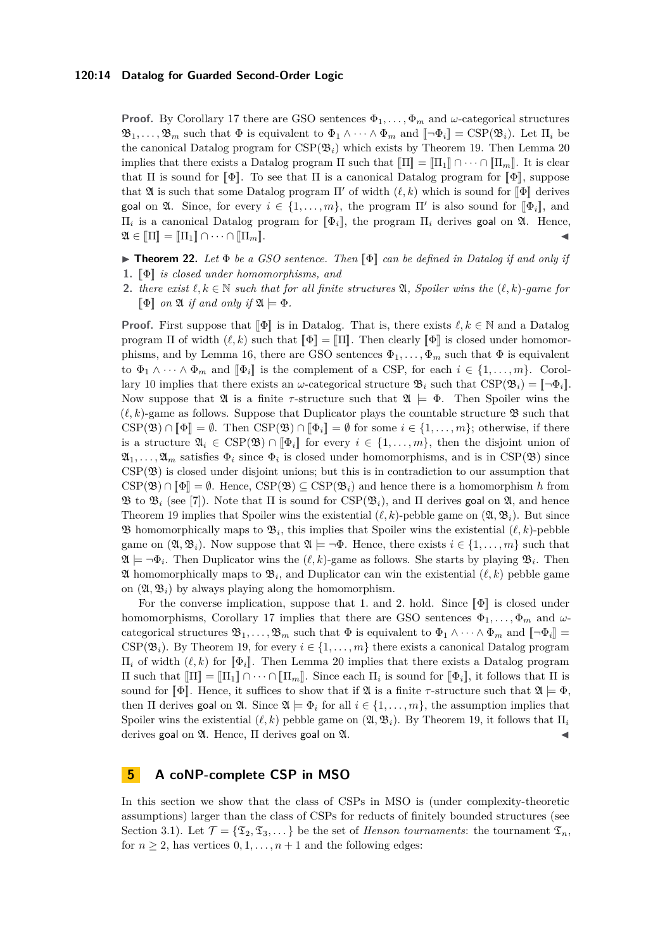**Proof.** By Corollary [17](#page-11-1) there are GSO sentences  $\Phi_1, \ldots, \Phi_m$  and  $\omega$ -categorical structures  $\mathfrak{B}_1, \ldots, \mathfrak{B}_m$  such that  $\Phi$  is equivalent to  $\Phi_1 \wedge \cdots \wedge \Phi_m$  and  $\llbracket \neg \Phi_i \rrbracket = \text{CSP}(\mathfrak{B}_i)$ . Let  $\Pi_i$  be the canonical Datalog program for  $CSP(\mathfrak{B}_i)$  which exists by Theorem [19.](#page-12-0) Then Lemma [20](#page-12-3) implies that there exists a Datalog program  $\Pi$  such that  $\Pi = \Pi_1 \cap \cdots \cap \Pi_m$ . It is clear that  $\Pi$  is sound for  $\llbracket \Phi \rrbracket$ . To see that  $\Pi$  is a canonical Datalog program for  $\llbracket \Phi \rrbracket$ , suppose that  $\mathfrak A$  is such that some Datalog program  $\Pi'$  of width  $(\ell, k)$  which is sound for  $\llbracket \Phi \rrbracket$  derives goal on  $\mathfrak{A}$ . Since, for every  $i \in \{1, ..., m\}$ , the program  $\Pi'$  is also sound for  $[\![\Phi_i]\!]$ , and  $\Pi$ , is a program of problem program of  $[\![\Phi_i]\!]$ , and  $\Pi_i$  is a canonical Datalog program for  $[\![\Phi_i]\!]$ , the program  $\Pi_i$  derives goal on  $\mathfrak{A}$ . Hence,  $\mathfrak{A} \subset \mathbb{F}$ ,  $\Pi$ ,  $\Pi \subset \mathbb{F}$ ,  $\Pi$ ,  $\Pi$  $\mathfrak{A} \in [\![\Pi]\!] = [\![\Pi_1]\!] \cap \cdots \cap [\![\Pi_m]\!] .$ 

- <span id="page-13-0"></span> $\blacktriangleright$  **Theorem 22.** Let  $\Phi$  be a GSO sentence. Then  $\llbracket \Phi \rrbracket$  can be defined in Datalog if and only if
- **1.**  $\llbracket \Phi \rrbracket$  *is closed under homomorphisms, and*
- **2.** *there exist*  $\ell, k \in \mathbb{N}$  *such that for all finite structures*  $\mathfrak{A}$ *, Spoiler wins the*  $(\ell, k)$ *-game for*  $\llbracket \Phi \rrbracket$  *on*  $\mathfrak{A}$  *if and only if*  $\mathfrak{A} \models \Phi$ *.*

**Proof.** First suppose that  $\llbracket \Phi \rrbracket$  is in Datalog. That is, there exists  $\ell, k \in \mathbb{N}$  and a Datalog program  $\Pi$  of width  $(\ell, k)$  such that  $\llbracket \Phi \rrbracket = \llbracket \Pi \rrbracket$ . Then clearly  $\llbracket \Phi \rrbracket$  is closed under homomor-phisms, and by Lemma [16,](#page-11-0) there are GSO sentences  $\Phi_1, \ldots, \Phi_m$  such that  $\Phi$  is equivalent to  $\Phi_1 \wedge \cdots \wedge \Phi_m$  and  $[\![\Phi_i]\!]$  is the complement of a CSP, for each  $i \in \{1, \ldots, m\}$ . Corol-lary [10](#page-9-0) implies that there exists an *ω*-categorical structure  $\mathfrak{B}_i$  such that CSP( $\mathfrak{B}_i$ ) =  $\lceil \neg \Phi_i \rceil$ . Now suppose that  $\mathfrak{A}$  is a finite  $\tau$ -structure such that  $\mathfrak{A} \models \Phi$ . Then Spoiler wins the  $(\ell, k)$ -game as follows. Suppose that Duplicator plays the countable structure  $\mathfrak{B}$  such that  $CSP(\mathfrak{B}) \cap \llbracket \Phi \rrbracket = \emptyset$ . Then  $CSP(\mathfrak{B}) \cap \llbracket \Phi_i \rrbracket = \emptyset$  for some  $i \in \{1, \ldots, m\}$ ; otherwise, if there is a structure  $\mathfrak{A}_i \in \text{CSP}(\mathfrak{B}) \cap \llbracket \Phi_i \rrbracket$  for every  $i \in \{1, \ldots, m\}$ , then the disjoint union of  $\mathfrak{A}_1,\ldots,\mathfrak{A}_m$  satisfies  $\Phi_i$  since  $\Phi_i$  is closed under homomorphisms, and is in CSP( $\mathfrak{B}$ ) since  $CSP(\mathfrak{B})$  is closed under disjoint unions; but this is in contradiction to our assumption that  $CSP(\mathfrak{B}) \cap \llbracket \Phi \rrbracket = \emptyset$ . Hence,  $CSP(\mathfrak{B}) \subseteq CSP(\mathfrak{B}_i)$  and hence there is a homomorphism *h* from  $\mathfrak{B}$  to  $\mathfrak{B}_i$  (see [\[7\]](#page-15-2)). Note that  $\Pi$  is sound for  $CSP(\mathfrak{B}_i)$ , and  $\Pi$  derives goal on  $\mathfrak{A}$ , and hence Theorem [19](#page-12-0) implies that Spoiler wins the existential  $(\ell, k)$ -pebble game on  $(\mathfrak{A}, \mathfrak{B}_i)$ . But since **B** homomorphically maps to  $\mathfrak{B}_i$ , this implies that Spoiler wins the existential  $(\ell, k)$ -pebble game on  $(\mathfrak{A}, \mathfrak{B}_i)$ . Now suppose that  $\mathfrak{A} \models \neg \Phi$ . Hence, there exists  $i \in \{1, \ldots, m\}$  such that  $\mathfrak{A} \models \neg \Phi_i$ . Then Duplicator wins the  $(\ell, k)$ -game as follows. She starts by playing  $\mathfrak{B}_i$ . Then  $\mathfrak A$  homomorphically maps to  $\mathfrak B_i$ , and Duplicator can win the existential  $(\ell, k)$  pebble game on  $(\mathfrak{A}, \mathfrak{B}_i)$  by always playing along the homomorphism.

For the converse implication, suppose that 1. and 2. hold. Since  $\llbracket \Phi \rrbracket$  is closed under homomorphisms, Corollary [17](#page-11-1) implies that there are GSO sentences  $\Phi_1, \ldots, \Phi_m$  and  $\omega$ categorical structures  $\mathfrak{B}_1, \ldots, \mathfrak{B}_m$  such that  $\Phi$  is equivalent to  $\Phi_1 \wedge \cdots \wedge \Phi_m$  and  $\llbracket \neg \Phi_i \rrbracket =$ CSP( $\mathfrak{B}_i$ ). By Theorem [19,](#page-12-0) for every  $i \in \{1, ..., m\}$  there exists a canonical Datalog program  $\Pi_i$  of width  $(\ell, k)$  for  $[\![\Phi_i]\!]$ . Then Lemma [20](#page-12-3) implies that there exists a Datalog program  $\Pi$  such that  $[\![\Pi]\!] = [\![\Pi_1]\!] \cap \cdots \cap [\![\Pi_m]\!]$ . Since each  $\Pi_i$  is sound for  $[\![\Phi_i]\!]$ , it follows that  $\Pi$  is<br>cound for  $[\![\Phi]\!]$ . Hence it guffices to ghan that if  $\mathfrak{A}$  is a finite get mature guch that  $\mathfrak{A} \$ sound for  $\llbracket \Phi \rrbracket$ . Hence, it suffices to show that if  $\mathfrak{A}$  is a finite *τ*-structure such that  $\mathfrak{A} \models \Phi$ , then  $\Pi$  derives goal on  $\mathfrak{A}$ . Since  $\mathfrak{A} \models \Phi_i$  for all  $i \in \{1, \ldots, m\}$ , the assumption implies that Spoiler wins the existential  $(\ell, k)$  pebble game on  $(\mathfrak{A}, \mathfrak{B}_i)$ . By Theorem [19,](#page-12-0) it follows that  $\Pi_i$ derives goal on  $\mathfrak{A}$ . Hence,  $\Pi$  derives goal on  $\mathfrak{A}$ .

## **5 A coNP-complete CSP in MSO**

In this section we show that the class of CSPs in MSO is (under complexity-theoretic assumptions) larger than the class of CSPs for reducts of finitely bounded structures (see Section [3.1\)](#page-7-2). Let  $\mathcal{T} = {\mathfrak{T}_2, \mathfrak{T}_3, \ldots}$  be the set of *Henson tournaments*: the tournament  $\mathfrak{T}_n$ , for  $n \geq 2$ , has vertices  $0, 1, \ldots, n+1$  and the following edges: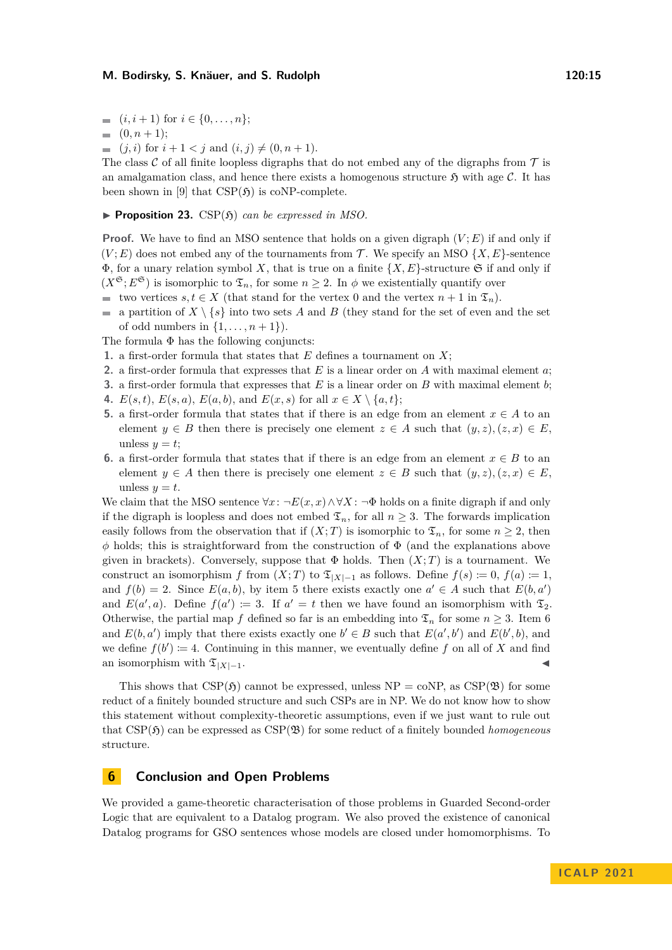$(0, n+1);$ 

$$
(j, i) for i + 1 < j and (i, j) \neq (0, n + 1).
$$

The class C of all finite loopless digraphs that do not embed any of the digraphs from  $\mathcal T$  is an amalgamation class, and hence there exists a homogenous structure  $\mathfrak{H}$  with age C. It has been shown in [\[9\]](#page-15-8) that  $CSP(5)$  is coNP-complete.

### <span id="page-14-0"></span> $\blacktriangleright$  **Proposition 23.** CSP( $\mathfrak{H}$ ) *can be expressed in MSO.*

**Proof.** We have to find an MSO sentence that holds on a given digraph  $(V; E)$  if and only if  $(V; E)$  does not embed any of the tournaments from T. We specify an MSO  $\{X, E\}$ -sentence  $\Phi$ , for a unary relation symbol *X*, that is true on a finite  $\{X, E\}$ -structure  $\mathfrak{S}$  if and only if  $(X^{\mathfrak{S}}; E^{\mathfrak{S}})$  is isomorphic to  $\mathfrak{T}_n$ , for some  $n \geq 2$ . In  $\phi$  we existentially quantify over

- **■** two vertices  $s, t \in X$  (that stand for the vertex 0 and the vertex  $n + 1$  in  $\mathfrak{T}_n$ ).
- a partition of  $X \setminus \{s\}$  into two sets *A* and *B* (they stand for the set of even and the set of odd numbers in  $\{1, \ldots, n+1\}$ .

The formula  $\Phi$  has the following conjuncts:

- **1.** a first-order formula that states that *E* defines a tournament on *X*;
- **2.** a first-order formula that expresses that *E* is a linear order on *A* with maximal element *a*;
- **3.** a first-order formula that expresses that *E* is a linear order on *B* with maximal element *b*;
- **4.** *E*(*s, t*), *E*(*s, a*), *E*(*a, b*), and *E*(*x, s*) for all *x* ∈ *X* \{*a, t*};
- **5.** a first-order formula that states that if there is an edge from an element  $x \in A$  to an element  $y \in B$  then there is precisely one element  $z \in A$  such that  $(y, z), (z, x) \in E$ , unless  $y = t$ ;
- **6.** a first-order formula that states that if there is an edge from an element  $x \in B$  to an element  $y \in A$  then there is precisely one element  $z \in B$  such that  $(y, z), (z, x) \in E$ , unless  $y = t$ .

We claim that the MSO sentence  $\forall x : \neg E(x, x) \land \forall X : \neg \Phi$  holds on a finite digraph if and only if the digraph is loopless and does not embed  $\mathfrak{T}_n$ , for all  $n \geq 3$ . The forwards implication easily follows from the observation that if  $(X;T)$  is isomorphic to  $\mathfrak{T}_n$ , for some  $n \geq 2$ , then *ϕ* holds; this is straightforward from the construction of Φ (and the explanations above given in brackets). Conversely, suppose that  $\Phi$  holds. Then  $(X;T)$  is a tournament. We construct an isomorphism *f* from  $(X; T)$  to  $\mathfrak{T}_{|X|-1}$  as follows. Define  $f(s) := 0$ ,  $f(a) := 1$ , and  $f(b) = 2$ . Since  $E(a, b)$ , by item 5 there exists exactly one  $a' \in A$  such that  $E(b, a')$ and  $E(a', a)$ . Define  $f(a') := 3$ . If  $a' = t$  then we have found an isomorphism with  $\mathfrak{T}_2$ . Otherwise, the partial map *f* defined so far is an embedding into  $\mathfrak{T}_n$  for some  $n \geq 3$ . Item 6 and  $E(b, a')$  imply that there exists exactly one  $b' \in B$  such that  $E(a', b')$  and  $E(b', b)$ , and we define  $f(b') \coloneqq 4$ . Continuing in this manner, we eventually define f on all of X and find an isomorphism with  $\mathfrak{T}_{|X|-1}$ .

This shows that  $CSP(\mathfrak{H})$  cannot be expressed, unless  $NP = \text{coNP}$ , as  $CSP(\mathfrak{B})$  for some reduct of a finitely bounded structure and such CSPs are in NP. We do not know how to show this statement without complexity-theoretic assumptions, even if we just want to rule out that  $CSP(\mathfrak{H})$  can be expressed as  $CSP(\mathfrak{B})$  for some reduct of a finitely bounded *homogeneous* structure.

## **6 Conclusion and Open Problems**

We provided a game-theoretic characterisation of those problems in Guarded Second-order Logic that are equivalent to a Datalog program. We also proved the existence of canonical Datalog programs for GSO sentences whose models are closed under homomorphisms. To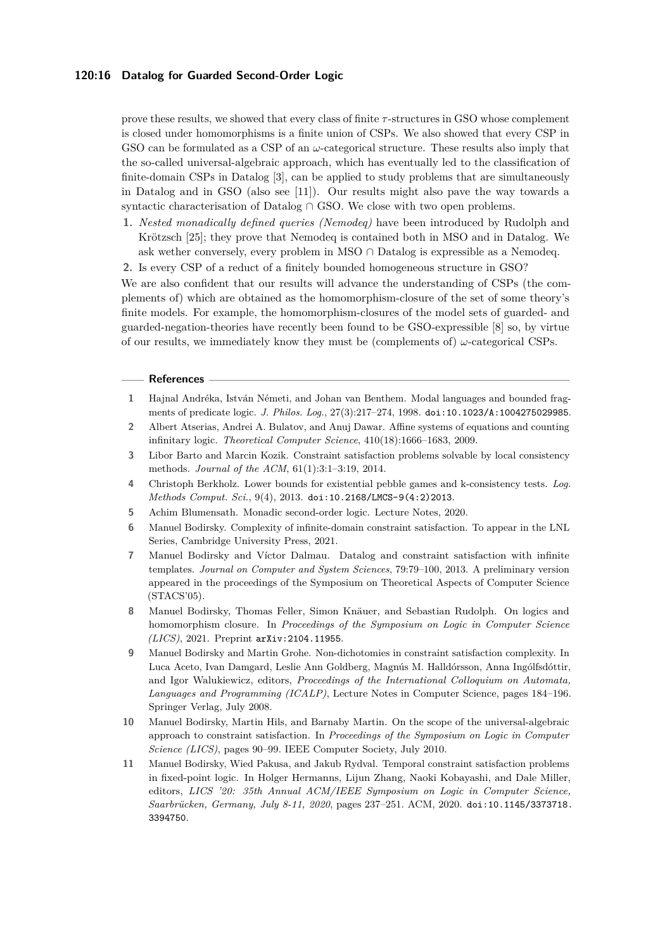#### **120:16 Datalog for Guarded Second-Order Logic**

prove these results, we showed that every class of finite *τ* -structures in GSO whose complement is closed under homomorphisms is a finite union of CSPs. We also showed that every CSP in GSO can be formulated as a CSP of an *ω*-categorical structure. These results also imply that the so-called universal-algebraic approach, which has eventually led to the classification of finite-domain CSPs in Datalog [\[3\]](#page-15-4), can be applied to study problems that are simultaneously in Datalog and in GSO (also see [\[11\]](#page-15-9)). Our results might also pave the way towards a syntactic characterisation of Datalog ∩ GSO. We close with two open problems.

- **1.** *Nested monadically defined queries (Nemodeq)* have been introduced by Rudolph and Krötzsch [\[25\]](#page-16-6); they prove that Nemodeq is contained both in MSO and in Datalog. We ask wether conversely, every problem in MSO  $\cap$  Datalog is expressible as a Nemodeq.
- **2.** Is every CSP of a reduct of a finitely bounded homogeneous structure in GSO?

We are also confident that our results will advance the understanding of CSPs (the complements of) which are obtained as the homomorphism-closure of the set of some theory's finite models. For example, the homomorphism-closures of the model sets of guarded- and guarded-negation-theories have recently been found to be GSO-expressible [\[8\]](#page-15-10) so, by virtue of our results, we immediately know they must be (complements of)  $\omega$ -categorical CSPs.

#### **References**

- <span id="page-15-5"></span>**1** Hajnal Andréka, István Németi, and Johan van Benthem. Modal languages and bounded fragments of predicate logic. *J. Philos. Log.*, 27(3):217–274, 1998. [doi:10.1023/A:1004275029985](https://doi.org/10.1023/A:1004275029985).
- <span id="page-15-3"></span>**2** Albert Atserias, Andrei A. Bulatov, and Anuj Dawar. Affine systems of equations and counting infinitary logic. *Theoretical Computer Science*, 410(18):1666–1683, 2009.
- <span id="page-15-4"></span>**3** Libor Barto and Marcin Kozik. Constraint satisfaction problems solvable by local consistency methods. *Journal of the ACM*, 61(1):3:1–3:19, 2014.
- <span id="page-15-0"></span>**4** Christoph Berkholz. Lower bounds for existential pebble games and k-consistency tests. *Log. Methods Comput. Sci.*, 9(4), 2013. [doi:10.2168/LMCS-9\(4:2\)2013](https://doi.org/10.2168/LMCS-9(4:2)2013).
- <span id="page-15-7"></span>**5** Achim Blumensath. Monadic second-order logic. Lecture Notes, 2020.
- <span id="page-15-1"></span>**6** Manuel Bodirsky. Complexity of infinite-domain constraint satisfaction. To appear in the LNL Series, Cambridge University Press, 2021.
- <span id="page-15-2"></span>**7** Manuel Bodirsky and Víctor Dalmau. Datalog and constraint satisfaction with infinite templates. *Journal on Computer and System Sciences*, 79:79–100, 2013. A preliminary version appeared in the proceedings of the Symposium on Theoretical Aspects of Computer Science (STACS'05).
- <span id="page-15-10"></span>**8** Manuel Bodirsky, Thomas Feller, Simon Knäuer, and Sebastian Rudolph. On logics and homomorphism closure. In *Proceedings of the Symposium on Logic in Computer Science (LICS)*, 2021. Preprint [arXiv:2104.11955](https://arxiv.org/abs/2104.11955).
- <span id="page-15-8"></span>**9** Manuel Bodirsky and Martin Grohe. Non-dichotomies in constraint satisfaction complexity. In Luca Aceto, Ivan Damgard, Leslie Ann Goldberg, Magnús M. Halldórsson, Anna Ingólfsdóttir, and Igor Walukiewicz, editors, *Proceedings of the International Colloquium on Automata, Languages and Programming (ICALP)*, Lecture Notes in Computer Science, pages 184–196. Springer Verlag, July 2008.
- <span id="page-15-6"></span>**10** Manuel Bodirsky, Martin Hils, and Barnaby Martin. On the scope of the universal-algebraic approach to constraint satisfaction. In *Proceedings of the Symposium on Logic in Computer Science (LICS)*, pages 90–99. IEEE Computer Society, July 2010.
- <span id="page-15-9"></span>**11** Manuel Bodirsky, Wied Pakusa, and Jakub Rydval. Temporal constraint satisfaction problems in fixed-point logic. In Holger Hermanns, Lijun Zhang, Naoki Kobayashi, and Dale Miller, editors, *LICS '20: 35th Annual ACM/IEEE Symposium on Logic in Computer Science, Saarbrücken, Germany, July 8-11, 2020*, pages 237–251. ACM, 2020. [doi:10.1145/3373718.](https://doi.org/10.1145/3373718.3394750) [3394750](https://doi.org/10.1145/3373718.3394750).